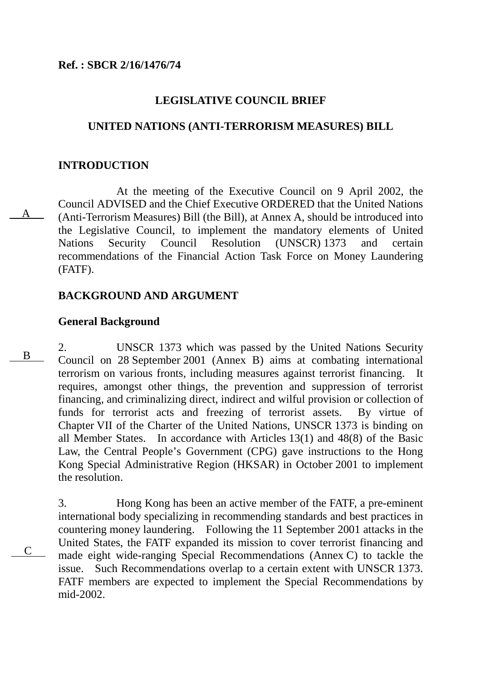#### **LEGISLATIVE COUNCIL BRIEF**

#### **UNITED NATIONS (ANTI-TERRORISM MEASURES) BILL**

#### **INTRODUCTION**

A

B

C

At the meeting of the Executive Council on 9 April 2002, the Council ADVISED and the Chief Executive ORDERED that the United Nations (Anti-Terrorism Measures) Bill (the Bill), at Annex A, should be introduced into the Legislative Council, to implement the mandatory elements of United Nations Security Council Resolution (UNSCR) 1373 and certain recommendations of the Financial Action Task Force on Money Laundering (FATF).

#### **BACKGROUND AND ARGUMENT**

#### **General Background**

2. UNSCR 1373 which was passed by the United Nations Security Council on 28 September 2001 (Annex B) aims at combating international terrorism on various fronts, including measures against terrorist financing. It requires, amongst other things, the prevention and suppression of terrorist financing, and criminalizing direct, indirect and wilful provision or collection of funds for terrorist acts and freezing of terrorist assets. By virtue of Chapter VII of the Charter of the United Nations, UNSCR 1373 is binding on all Member States. In accordance with Articles 13(1) and 48(8) of the Basic Law, the Central People's Government (CPG) gave instructions to the Hong Kong Special Administrative Region (HKSAR) in October 2001 to implement the resolution.

3. Hong Kong has been an active member of the FATF, a pre-eminent international body specializing in recommending standards and best practices in countering money laundering. Following the 11 September 2001 attacks in the United States, the FATF expanded its mission to cover terrorist financing and made eight wide-ranging Special Recommendations (Annex C) to tackle the issue. Such Recommendations overlap to a certain extent with UNSCR 1373. FATF members are expected to implement the Special Recommendations by mid-2002.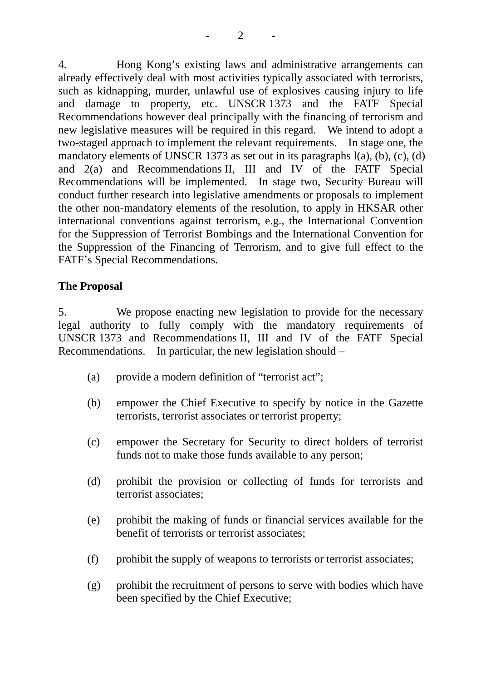4. Hong Kong's existing laws and administrative arrangements can already effectively deal with most activities typically associated with terrorists, such as kidnapping, murder, unlawful use of explosives causing injury to life and damage to property, etc. UNSCR 1373 and the FATF Special Recommendations however deal principally with the financing of terrorism and new legislative measures will be required in this regard. We intend to adopt a two-staged approach to implement the relevant requirements. In stage one, the mandatory elements of UNSCR 1373 as set out in its paragraphs l(a), (b), (c), (d) and 2(a) and Recommendations II, III and IV of the FATF Special Recommendations will be implemented. In stage two, Security Bureau will conduct further research into legislative amendments or proposals to implement the other non-mandatory elements of the resolution, to apply in HKSAR other international conventions against terrorism, e.g., the International Convention for the Suppression of Terrorist Bombings and the International Convention for the Suppression of the Financing of Terrorism, and to give full effect to the FATF's Special Recommendations.

# **The Proposal**

5. We propose enacting new legislation to provide for the necessary legal authority to fully comply with the mandatory requirements of UNSCR 1373 and Recommendations II, III and IV of the FATF Special Recommendations. In particular, the new legislation should –

- (a) provide a modern definition of "terrorist act";
- (b) empower the Chief Executive to specify by notice in the Gazette terrorists, terrorist associates or terrorist property;
- (c) empower the Secretary for Security to direct holders of terrorist funds not to make those funds available to any person;
- (d) prohibit the provision or collecting of funds for terrorists and terrorist associates;
- (e) prohibit the making of funds or financial services available for the benefit of terrorists or terrorist associates;
- (f) prohibit the supply of weapons to terrorists or terrorist associates;
- (g) prohibit the recruitment of persons to serve with bodies which have been specified by the Chief Executive;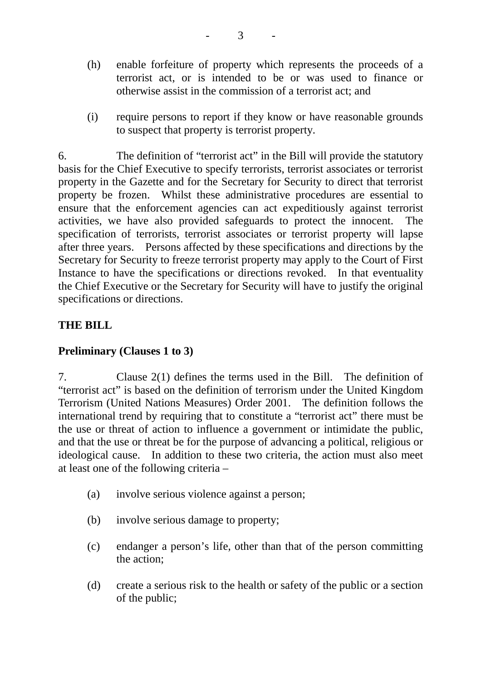- (h) enable forfeiture of property which represents the proceeds of a terrorist act, or is intended to be or was used to finance or otherwise assist in the commission of a terrorist act; and
- (i) require persons to report if they know or have reasonable grounds to suspect that property is terrorist property.

6. The definition of "terrorist act" in the Bill will provide the statutory basis for the Chief Executive to specify terrorists, terrorist associates or terrorist property in the Gazette and for the Secretary for Security to direct that terrorist property be frozen. Whilst these administrative procedures are essential to ensure that the enforcement agencies can act expeditiously against terrorist activities, we have also provided safeguards to protect the innocent. The specification of terrorists, terrorist associates or terrorist property will lapse after three years. Persons affected by these specifications and directions by the Secretary for Security to freeze terrorist property may apply to the Court of First Instance to have the specifications or directions revoked. In that eventuality the Chief Executive or the Secretary for Security will have to justify the original specifications or directions.

# **THE BILL**

# **Preliminary (Clauses 1 to 3)**

7. Clause 2(1) defines the terms used in the Bill. The definition of "terrorist act" is based on the definition of terrorism under the United Kingdom Terrorism (United Nations Measures) Order 2001. The definition follows the international trend by requiring that to constitute a "terrorist act" there must be the use or threat of action to influence a government or intimidate the public, and that the use or threat be for the purpose of advancing a political, religious or ideological cause. In addition to these two criteria, the action must also meet at least one of the following criteria –

- (a) involve serious violence against a person;
- (b) involve serious damage to property;
- (c) endanger a person's life, other than that of the person committing the action;
- (d) create a serious risk to the health or safety of the public or a section of the public;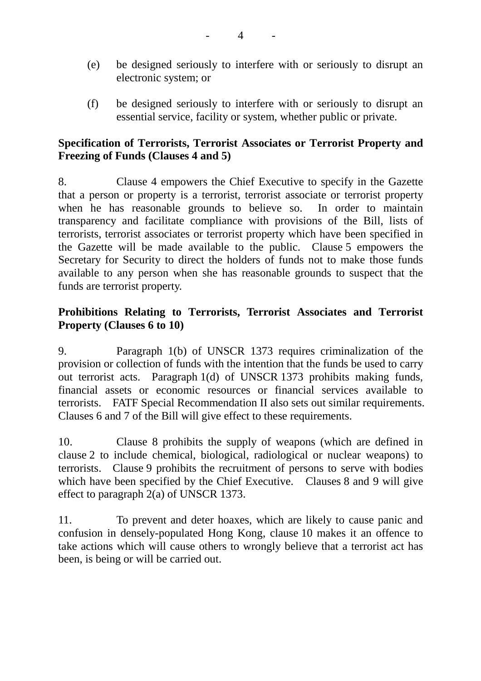- (e) be designed seriously to interfere with or seriously to disrupt an electronic system; or
- (f) be designed seriously to interfere with or seriously to disrupt an essential service, facility or system, whether public or private.

# **Specification of Terrorists, Terrorist Associates or Terrorist Property and Freezing of Funds (Clauses 4 and 5)**

8. Clause 4 empowers the Chief Executive to specify in the Gazette that a person or property is a terrorist, terrorist associate or terrorist property when he has reasonable grounds to believe so. In order to maintain transparency and facilitate compliance with provisions of the Bill, lists of terrorists, terrorist associates or terrorist property which have been specified in the Gazette will be made available to the public. Clause 5 empowers the Secretary for Security to direct the holders of funds not to make those funds available to any person when she has reasonable grounds to suspect that the funds are terrorist property.

# **Prohibitions Relating to Terrorists, Terrorist Associates and Terrorist Property (Clauses 6 to 10)**

9. Paragraph 1(b) of UNSCR 1373 requires criminalization of the provision or collection of funds with the intention that the funds be used to carry out terrorist acts. Paragraph 1(d) of UNSCR 1373 prohibits making funds, financial assets or economic resources or financial services available to terrorists. FATF Special Recommendation II also sets out similar requirements. Clauses 6 and 7 of the Bill will give effect to these requirements.

10. Clause 8 prohibits the supply of weapons (which are defined in clause 2 to include chemical, biological, radiological or nuclear weapons) to terrorists. Clause 9 prohibits the recruitment of persons to serve with bodies which have been specified by the Chief Executive. Clauses 8 and 9 will give effect to paragraph 2(a) of UNSCR 1373.

11. To prevent and deter hoaxes, which are likely to cause panic and confusion in densely-populated Hong Kong, clause 10 makes it an offence to take actions which will cause others to wrongly believe that a terrorist act has been, is being or will be carried out.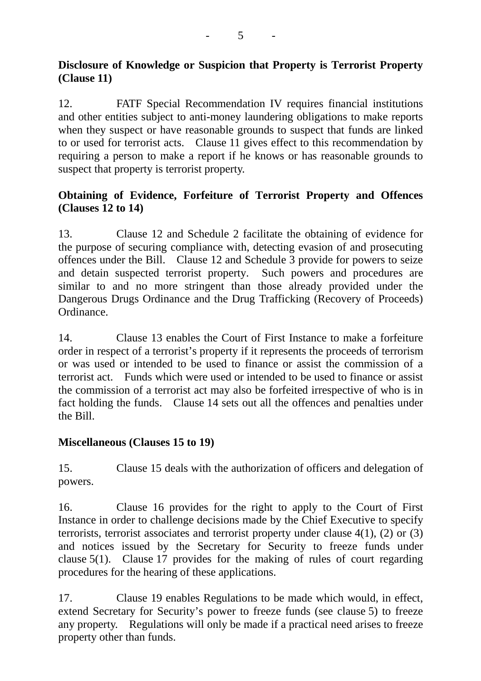# **Disclosure of Knowledge or Suspicion that Property is Terrorist Property (Clause 11)**

12. FATF Special Recommendation IV requires financial institutions and other entities subject to anti-money laundering obligations to make reports when they suspect or have reasonable grounds to suspect that funds are linked to or used for terrorist acts. Clause 11 gives effect to this recommendation by requiring a person to make a report if he knows or has reasonable grounds to suspect that property is terrorist property.

# **Obtaining of Evidence, Forfeiture of Terrorist Property and Offences (Clauses 12 to 14)**

13. Clause 12 and Schedule 2 facilitate the obtaining of evidence for the purpose of securing compliance with, detecting evasion of and prosecuting offences under the Bill. Clause 12 and Schedule 3 provide for powers to seize and detain suspected terrorist property. Such powers and procedures are similar to and no more stringent than those already provided under the Dangerous Drugs Ordinance and the Drug Trafficking (Recovery of Proceeds) Ordinance.

14. Clause 13 enables the Court of First Instance to make a forfeiture order in respect of a terrorist's property if it represents the proceeds of terrorism or was used or intended to be used to finance or assist the commission of a terrorist act. Funds which were used or intended to be used to finance or assist the commission of a terrorist act may also be forfeited irrespective of who is in fact holding the funds. Clause 14 sets out all the offences and penalties under the Bill.

# **Miscellaneous (Clauses 15 to 19)**

15. Clause 15 deals with the authorization of officers and delegation of powers.

16. Clause 16 provides for the right to apply to the Court of First Instance in order to challenge decisions made by the Chief Executive to specify terrorists, terrorist associates and terrorist property under clause  $4(1)$ ,  $(2)$  or  $(3)$ and notices issued by the Secretary for Security to freeze funds under clause 5(1). Clause 17 provides for the making of rules of court regarding procedures for the hearing of these applications.

17. Clause 19 enables Regulations to be made which would, in effect, extend Secretary for Security's power to freeze funds (see clause 5) to freeze any property. Regulations will only be made if a practical need arises to freeze property other than funds.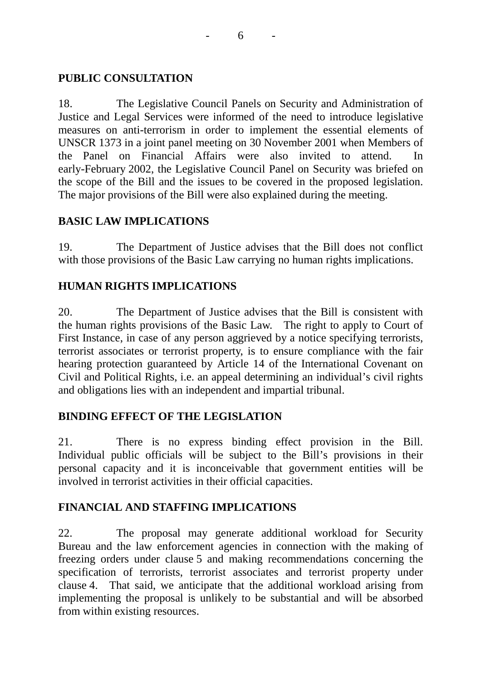# **PUBLIC CONSULTATION**

18. The Legislative Council Panels on Security and Administration of Justice and Legal Services were informed of the need to introduce legislative measures on anti-terrorism in order to implement the essential elements of UNSCR 1373 in a joint panel meeting on 30 November 2001 when Members of the Panel on Financial Affairs were also invited to attend. In early-February 2002, the Legislative Council Panel on Security was briefed on the scope of the Bill and the issues to be covered in the proposed legislation. The major provisions of the Bill were also explained during the meeting.

# **BASIC LAW IMPLICATIONS**

19. The Department of Justice advises that the Bill does not conflict with those provisions of the Basic Law carrying no human rights implications.

# **HUMAN RIGHTS IMPLICATIONS**

20. The Department of Justice advises that the Bill is consistent with the human rights provisions of the Basic Law. The right to apply to Court of First Instance, in case of any person aggrieved by a notice specifying terrorists, terrorist associates or terrorist property, is to ensure compliance with the fair hearing protection guaranteed by Article 14 of the International Covenant on Civil and Political Rights, i.e. an appeal determining an individual's civil rights and obligations lies with an independent and impartial tribunal.

# **BINDING EFFECT OF THE LEGISLATION**

21. There is no express binding effect provision in the Bill. Individual public officials will be subject to the Bill's provisions in their personal capacity and it is inconceivable that government entities will be involved in terrorist activities in their official capacities.

# **FINANCIAL AND STAFFING IMPLICATIONS**

22. The proposal may generate additional workload for Security Bureau and the law enforcement agencies in connection with the making of freezing orders under clause 5 and making recommendations concerning the specification of terrorists, terrorist associates and terrorist property under clause 4. That said, we anticipate that the additional workload arising from implementing the proposal is unlikely to be substantial and will be absorbed from within existing resources.

6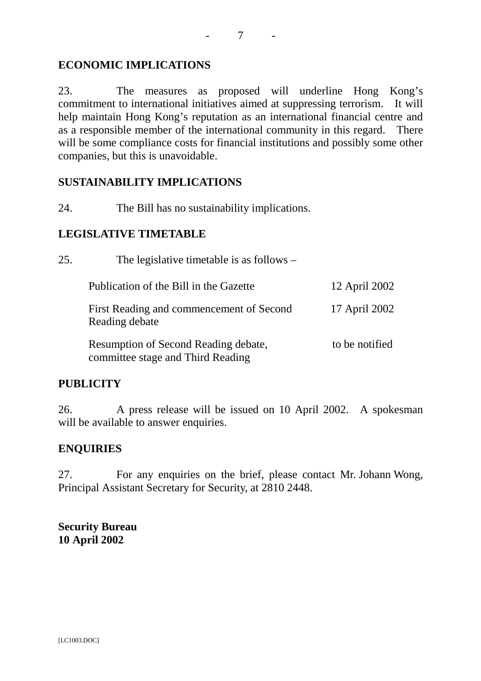# **ECONOMIC IMPLICATIONS**

23. The measures as proposed will underline Hong Kong's commitment to international initiatives aimed at suppressing terrorism. It will help maintain Hong Kong's reputation as an international financial centre and as a responsible member of the international community in this regard. There will be some compliance costs for financial institutions and possibly some other companies, but this is unavoidable.

# **SUSTAINABILITY IMPLICATIONS**

24. The Bill has no sustainability implications.

# **LEGISLATIVE TIMETABLE**

| 25. | The legislative timetable is as follows $-$                               |                |
|-----|---------------------------------------------------------------------------|----------------|
|     | Publication of the Bill in the Gazette                                    | 12 April 2002  |
|     | First Reading and commencement of Second<br>Reading debate                | 17 April 2002  |
|     | Resumption of Second Reading debate,<br>committee stage and Third Reading | to be notified |

# **PUBLICITY**

26. A press release will be issued on 10 April 2002. A spokesman will be available to answer enquiries.

# **ENQUIRIES**

27. For any enquiries on the brief, please contact Mr. Johann Wong, Principal Assistant Secretary for Security, at 2810 2448.

**Security Bureau 10 April 2002**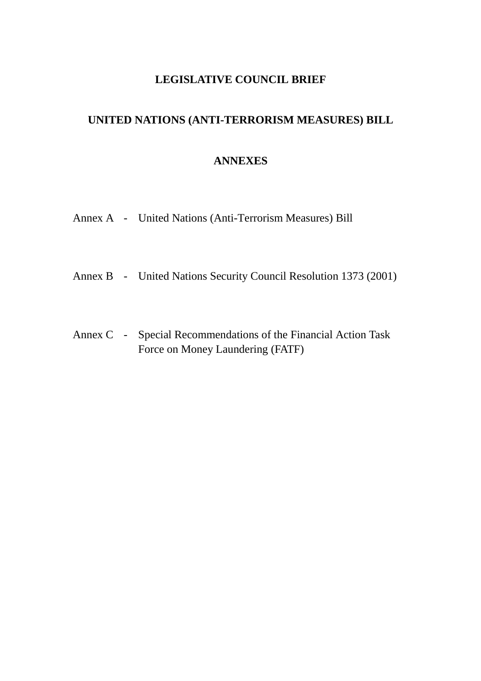# **LEGISLATIVE COUNCIL BRIEF**

# **UNITED NATIONS (ANTI-TERRORISM MEASURES) BILL**

## **ANNEXES**

- Annex A United Nations (Anti-Terrorism Measures) Bill
- Annex B United Nations Security Council Resolution 1373 (2001)
- Annex C Special Recommendations of the Financial Action Task Force on Money Laundering (FATF)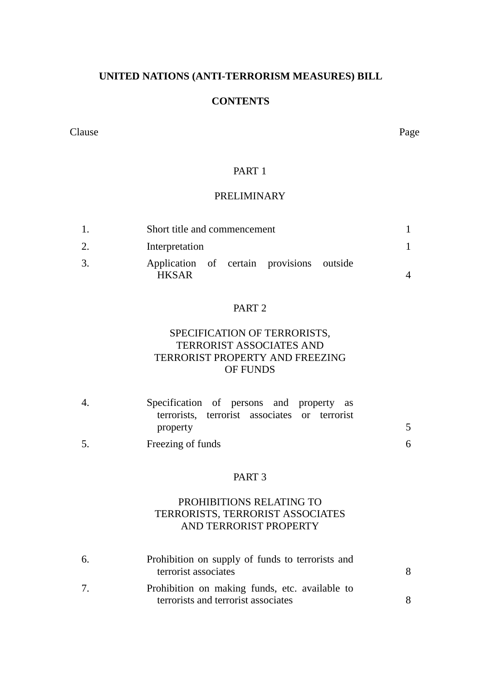# **UNITED NATIONS (ANTI-TERRORISM MEASURES) BILL**

#### **CONTENTS**

#### Clause Page

#### PART<sub>1</sub>

#### PRELIMINARY

|    | Short title and commencement                              |  |  |  |  |
|----|-----------------------------------------------------------|--|--|--|--|
|    | Interpretation                                            |  |  |  |  |
| 3. | Application of certain provisions outside<br><b>HKSAR</b> |  |  |  |  |

## PART 2

## SPECIFICATION OF TERRORISTS, TERRORIST ASSOCIATES AND TERRORIST PROPERTY AND FREEZING OF FUNDS

| 4. | Specification of persons and property as      |  |   |
|----|-----------------------------------------------|--|---|
|    | terrorists, terrorist associates or terrorist |  |   |
|    | property                                      |  |   |
| 5. | Freezing of funds                             |  | 6 |

## PART 3

## PROHIBITIONS RELATING TO TERRORISTS, TERRORIST ASSOCIATES AND TERRORIST PROPERTY

| 6.       | Prohibition on supply of funds to terrorists and<br>terrorist associates              | 8 |
|----------|---------------------------------------------------------------------------------------|---|
| $\tau$ . | Prohibition on making funds, etc. available to<br>terrorists and terrorist associates | 8 |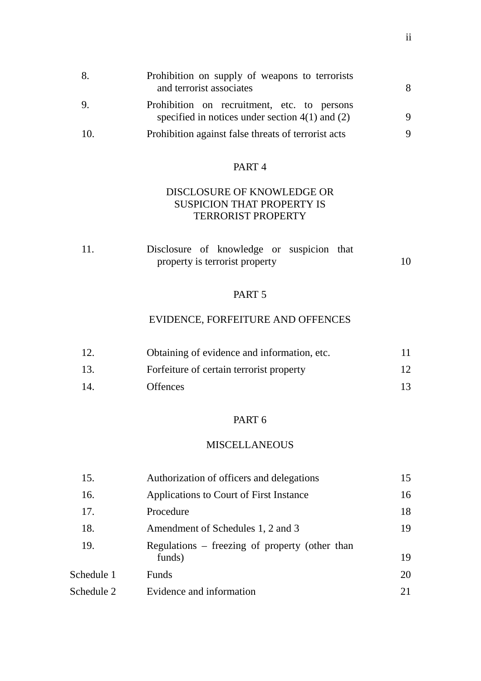| 8.  | Prohibition on supply of weapons to terrorists<br>and terrorist associates                         | 8 |
|-----|----------------------------------------------------------------------------------------------------|---|
| 9.  | Prohibition on recruitment, etc. to persons<br>specified in notices under section $4(1)$ and $(2)$ | 9 |
| 10. | Prohibition against false threats of terrorist acts                                                | 9 |

#### PART 4

## DISCLOSURE OF KNOWLEDGE OR SUSPICION THAT PROPERTY IS TERRORIST PROPERTY

|  | Disclosure of knowledge or suspicion that |  |  |
|--|-------------------------------------------|--|--|
|  | property is terrorist property            |  |  |

## PART 5

## EVIDENCE, FORFEITURE AND OFFENCES

| 12 | Obtaining of evidence and information, etc. |    |
|----|---------------------------------------------|----|
| 13 | Forfeiture of certain terrorist property    | 12 |
| 14 | <b>Offences</b>                             | 13 |

## PART 6

# MISCELLANEOUS

| 15.        | Authorization of officers and delegations                | 15 |
|------------|----------------------------------------------------------|----|
| 16.        | Applications to Court of First Instance                  | 16 |
| 17.        | Procedure                                                | 18 |
| 18.        | Amendment of Schedules 1, 2 and 3                        | 19 |
| 19.        | Regulations – freezing of property (other than<br>funds) | 19 |
| Schedule 1 | <b>Funds</b>                                             | 20 |
| Schedule 2 | Evidence and information                                 | 21 |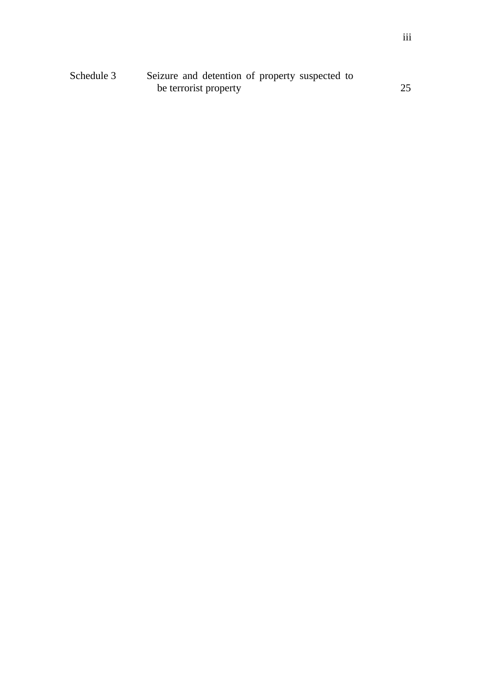iii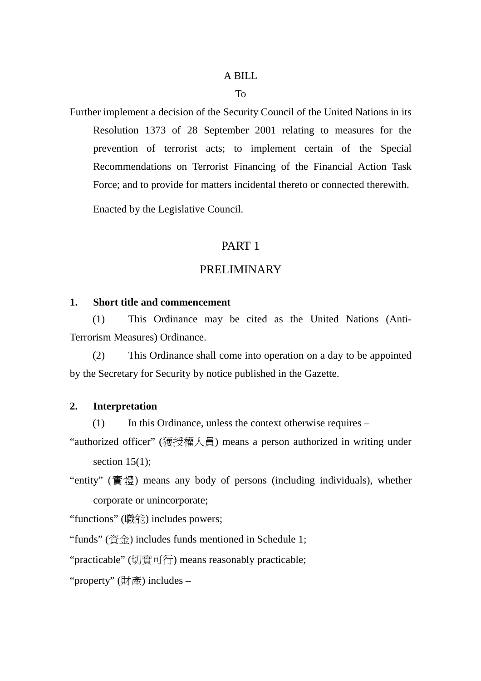#### A BILL

#### To

Further implement a decision of the Security Council of the United Nations in its Resolution 1373 of 28 September 2001 relating to measures for the prevention of terrorist acts; to implement certain of the Special Recommendations on Terrorist Financing of the Financial Action Task Force; and to provide for matters incidental thereto or connected therewith.

Enacted by the Legislative Council.

#### PART 1

#### PRELIMINARY

#### **1. Short title and commencement**

(1) This Ordinance may be cited as the United Nations (Anti-Terrorism Measures) Ordinance.

(2) This Ordinance shall come into operation on a day to be appointed by the Secretary for Security by notice published in the Gazette.

#### **2. Interpretation**

(1) In this Ordinance, unless the context otherwise requires –

"authorized officer" (獲授權㆟員) means a person authorized in writing under section  $15(1)$ ;

"entity" (實體) means any body of persons (including individuals), whether corporate or unincorporate;

"functions" (職能) includes powers;

"funds" (資金) includes funds mentioned in Schedule 1;

"practicable" (切實可行) means reasonably practicable;

"property" (財產) includes –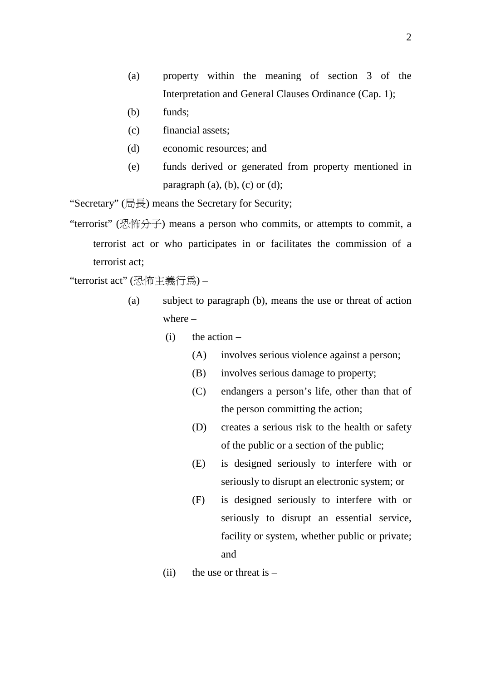- (a) property within the meaning of section 3 of the Interpretation and General Clauses Ordinance (Cap. 1);
- (b) funds;
- (c) financial assets;
- (d) economic resources; and
- (e) funds derived or generated from property mentioned in paragraph  $(a)$ ,  $(b)$ ,  $(c)$  or  $(d)$ ;

"Secretary" (局長) means the Secretary for Security;

"terrorist" (恐怖分子) means a person who commits, or attempts to commit, a terrorist act or who participates in or facilitates the commission of a terrorist act;

"terrorist act" (恐怖主義行為) –

- (a) subject to paragraph (b), means the use or threat of action where –
	- $(i)$  the action
		- (A) involves serious violence against a person;
		- (B) involves serious damage to property;
		- (C) endangers a person's life, other than that of the person committing the action;
		- (D) creates a serious risk to the health or safety of the public or a section of the public;
		- (E) is designed seriously to interfere with or seriously to disrupt an electronic system; or
		- (F) is designed seriously to interfere with or seriously to disrupt an essential service, facility or system, whether public or private; and
	- (ii) the use or threat is  $-$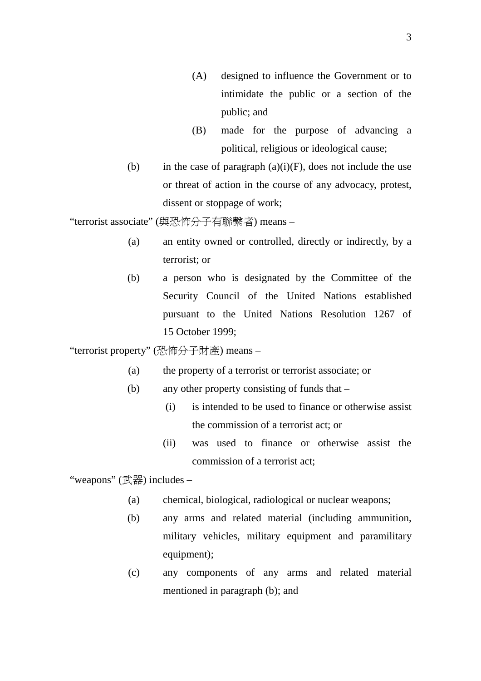- (A) designed to influence the Government or to intimidate the public or a section of the public; and
- (B) made for the purpose of advancing a political, religious or ideological cause;
- (b) in the case of paragraph  $(a)(i)(F)$ , does not include the use or threat of action in the course of any advocacy, protest, dissent or stoppage of work;

"terrorist associate" (與恐怖分子有聯繫者) means –

- (a) an entity owned or controlled, directly or indirectly, by a terrorist; or
- (b) a person who is designated by the Committee of the Security Council of the United Nations established pursuant to the United Nations Resolution 1267 of 15 October 1999;

"terrorist property" (恐怖分子財產) means –

- (a) the property of a terrorist or terrorist associate; or
- (b) any other property consisting of funds that
	- (i) is intended to be used to finance or otherwise assist the commission of a terrorist act; or
	- (ii) was used to finance or otherwise assist the commission of a terrorist act;

"weapons" (武器) includes –

- (a) chemical, biological, radiological or nuclear weapons;
- (b) any arms and related material (including ammunition, military vehicles, military equipment and paramilitary equipment);
- (c) any components of any arms and related material mentioned in paragraph (b); and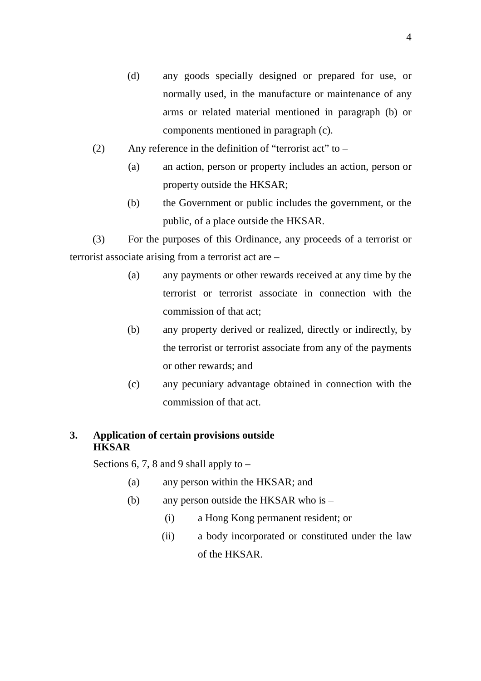- (d) any goods specially designed or prepared for use, or normally used, in the manufacture or maintenance of any arms or related material mentioned in paragraph (b) or components mentioned in paragraph (c).
- (2) Any reference in the definition of "terrorist act" to  $-$ 
	- (a) an action, person or property includes an action, person or property outside the HKSAR;
	- (b) the Government or public includes the government, or the public, of a place outside the HKSAR.

(3) For the purposes of this Ordinance, any proceeds of a terrorist or terrorist associate arising from a terrorist act are –

- (a) any payments or other rewards received at any time by the terrorist or terrorist associate in connection with the commission of that act;
- (b) any property derived or realized, directly or indirectly, by the terrorist or terrorist associate from any of the payments or other rewards; and
- (c) any pecuniary advantage obtained in connection with the commission of that act.

## **3. Application of certain provisions outside HKSAR**

Sections 6, 7, 8 and 9 shall apply to  $-$ 

- (a) any person within the HKSAR; and
- (b) any person outside the HKSAR who is
	- (i) a Hong Kong permanent resident; or
	- (ii) a body incorporated or constituted under the law of the HKSAR.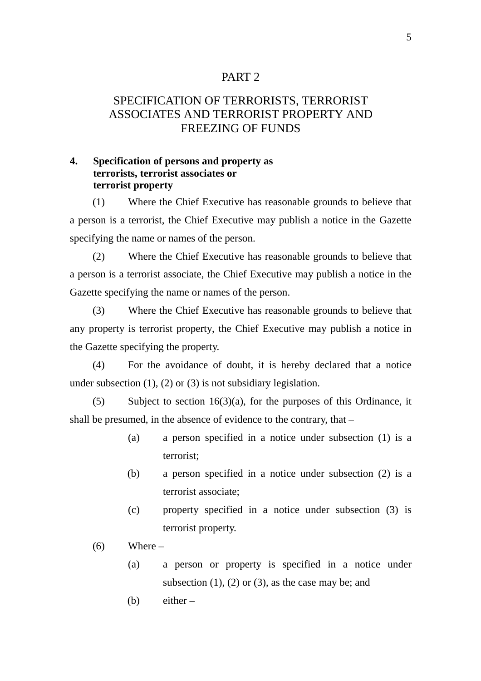## PART 2

# SPECIFICATION OF TERRORISTS, TERRORIST ASSOCIATES AND TERRORIST PROPERTY AND FREEZING OF FUNDS

## **4. Specification of persons and property as terrorists, terrorist associates or terrorist property**

(1) Where the Chief Executive has reasonable grounds to believe that a person is a terrorist, the Chief Executive may publish a notice in the Gazette specifying the name or names of the person.

(2) Where the Chief Executive has reasonable grounds to believe that a person is a terrorist associate, the Chief Executive may publish a notice in the Gazette specifying the name or names of the person.

(3) Where the Chief Executive has reasonable grounds to believe that any property is terrorist property, the Chief Executive may publish a notice in the Gazette specifying the property.

(4) For the avoidance of doubt, it is hereby declared that a notice under subsection  $(1)$ ,  $(2)$  or  $(3)$  is not subsidiary legislation.

(5) Subject to section 16(3)(a), for the purposes of this Ordinance, it shall be presumed, in the absence of evidence to the contrary, that –

- (a) a person specified in a notice under subsection (1) is a terrorist;
- (b) a person specified in a notice under subsection (2) is a terrorist associate;
- (c) property specified in a notice under subsection (3) is terrorist property.
- $(6)$  Where
	- (a) a person or property is specified in a notice under subsection  $(1)$ ,  $(2)$  or  $(3)$ , as the case may be; and
	- $(b)$  either –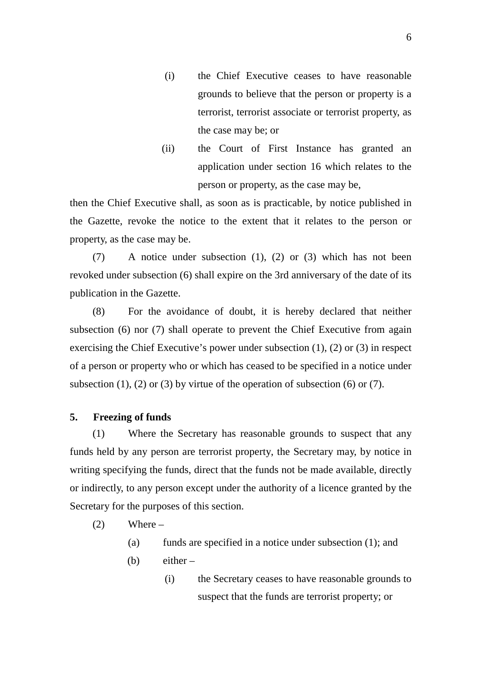- (i) the Chief Executive ceases to have reasonable grounds to believe that the person or property is a terrorist, terrorist associate or terrorist property, as the case may be; or
- (ii) the Court of First Instance has granted an application under section 16 which relates to the person or property, as the case may be,

then the Chief Executive shall, as soon as is practicable, by notice published in the Gazette, revoke the notice to the extent that it relates to the person or property, as the case may be.

(7) A notice under subsection (1), (2) or (3) which has not been revoked under subsection (6) shall expire on the 3rd anniversary of the date of its publication in the Gazette.

(8) For the avoidance of doubt, it is hereby declared that neither subsection (6) nor (7) shall operate to prevent the Chief Executive from again exercising the Chief Executive's power under subsection (1), (2) or (3) in respect of a person or property who or which has ceased to be specified in a notice under subsection (1), (2) or (3) by virtue of the operation of subsection (6) or (7).

#### **5. Freezing of funds**

(1) Where the Secretary has reasonable grounds to suspect that any funds held by any person are terrorist property, the Secretary may, by notice in writing specifying the funds, direct that the funds not be made available, directly or indirectly, to any person except under the authority of a licence granted by the Secretary for the purposes of this section.

- $(2)$  Where
	- (a) funds are specified in a notice under subsection (1); and
	- $(b)$  either
		- (i) the Secretary ceases to have reasonable grounds to suspect that the funds are terrorist property; or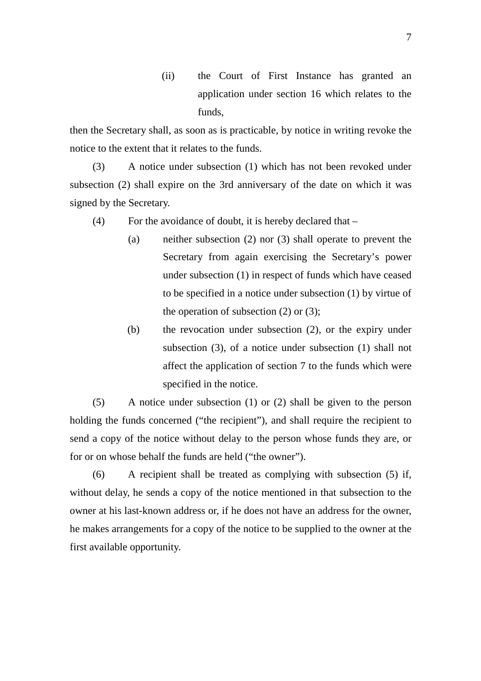(ii) the Court of First Instance has granted an application under section 16 which relates to the funds,

then the Secretary shall, as soon as is practicable, by notice in writing revoke the notice to the extent that it relates to the funds.

(3) A notice under subsection (1) which has not been revoked under subsection (2) shall expire on the 3rd anniversary of the date on which it was signed by the Secretary.

- (4) For the avoidance of doubt, it is hereby declared that
	- (a) neither subsection (2) nor (3) shall operate to prevent the Secretary from again exercising the Secretary's power under subsection (1) in respect of funds which have ceased to be specified in a notice under subsection (1) by virtue of the operation of subsection  $(2)$  or  $(3)$ ;
	- (b) the revocation under subsection (2), or the expiry under subsection (3), of a notice under subsection (1) shall not affect the application of section 7 to the funds which were specified in the notice.

(5) A notice under subsection (1) or (2) shall be given to the person holding the funds concerned ("the recipient"), and shall require the recipient to send a copy of the notice without delay to the person whose funds they are, or for or on whose behalf the funds are held ("the owner").

(6) A recipient shall be treated as complying with subsection (5) if, without delay, he sends a copy of the notice mentioned in that subsection to the owner at his last-known address or, if he does not have an address for the owner, he makes arrangements for a copy of the notice to be supplied to the owner at the first available opportunity.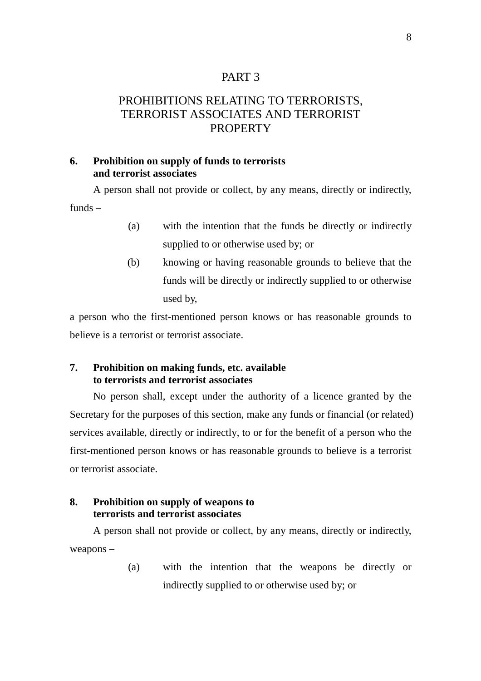## PART 3

# PROHIBITIONS RELATING TO TERRORISTS, TERRORIST ASSOCIATES AND TERRORIST **PROPERTY**

#### **6. Prohibition on supply of funds to terrorists and terrorist associates**

A person shall not provide or collect, by any means, directly or indirectly, funds –

- (a) with the intention that the funds be directly or indirectly supplied to or otherwise used by; or
- (b) knowing or having reasonable grounds to believe that the funds will be directly or indirectly supplied to or otherwise used by,

a person who the first-mentioned person knows or has reasonable grounds to believe is a terrorist or terrorist associate.

# **7. Prohibition on making funds, etc. available to terrorists and terrorist associates**

No person shall, except under the authority of a licence granted by the Secretary for the purposes of this section, make any funds or financial (or related) services available, directly or indirectly, to or for the benefit of a person who the first-mentioned person knows or has reasonable grounds to believe is a terrorist or terrorist associate.

#### **8. Prohibition on supply of weapons to terrorists and terrorist associates**

A person shall not provide or collect, by any means, directly or indirectly, weapons –

> (a) with the intention that the weapons be directly or indirectly supplied to or otherwise used by; or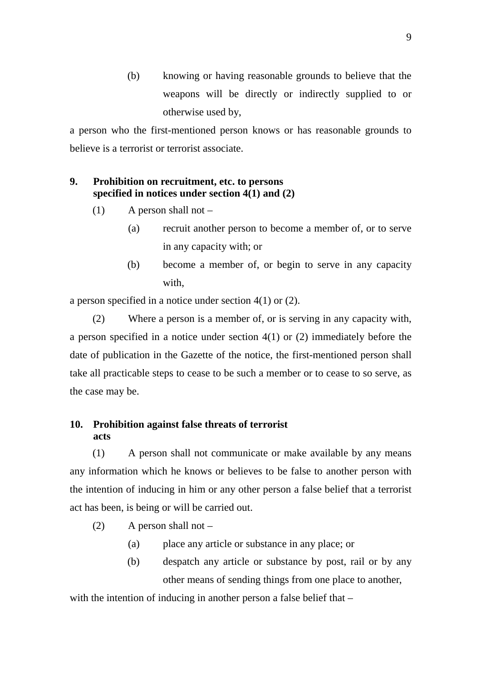(b) knowing or having reasonable grounds to believe that the weapons will be directly or indirectly supplied to or otherwise used by,

a person who the first-mentioned person knows or has reasonable grounds to believe is a terrorist or terrorist associate.

## **9. Prohibition on recruitment, etc. to persons specified in notices under section 4(1) and (2)**

- $(1)$  A person shall not
	- (a) recruit another person to become a member of, or to serve in any capacity with; or
	- (b) become a member of, or begin to serve in any capacity with,

a person specified in a notice under section 4(1) or (2).

(2) Where a person is a member of, or is serving in any capacity with, a person specified in a notice under section 4(1) or (2) immediately before the date of publication in the Gazette of the notice, the first-mentioned person shall take all practicable steps to cease to be such a member or to cease to so serve, as the case may be.

# **10. Prohibition against false threats of terrorist acts**

(1) A person shall not communicate or make available by any means any information which he knows or believes to be false to another person with the intention of inducing in him or any other person a false belief that a terrorist act has been, is being or will be carried out.

- (2) A person shall not  $-$ 
	- (a) place any article or substance in any place; or
	- (b) despatch any article or substance by post, rail or by any other means of sending things from one place to another,

with the intention of inducing in another person a false belief that –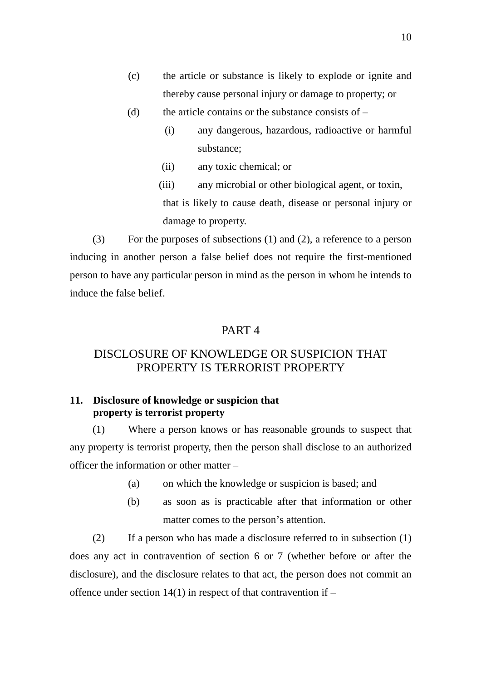- (c) the article or substance is likely to explode or ignite and thereby cause personal injury or damage to property; or
- (d) the article contains or the substance consists of  $-$ 
	- (i) any dangerous, hazardous, radioactive or harmful substance;
	- (ii) any toxic chemical; or
	- (iii) any microbial or other biological agent, or toxin, that is likely to cause death, disease or personal injury or damage to property.

(3) For the purposes of subsections (1) and (2), a reference to a person inducing in another person a false belief does not require the first-mentioned person to have any particular person in mind as the person in whom he intends to induce the false belief.

## PART 4

# DISCLOSURE OF KNOWLEDGE OR SUSPICION THAT PROPERTY IS TERRORIST PROPERTY

## **11. Disclosure of knowledge or suspicion that property is terrorist property**

(1) Where a person knows or has reasonable grounds to suspect that any property is terrorist property, then the person shall disclose to an authorized officer the information or other matter –

- (a) on which the knowledge or suspicion is based; and
- (b) as soon as is practicable after that information or other matter comes to the person's attention.

(2) If a person who has made a disclosure referred to in subsection (1) does any act in contravention of section 6 or 7 (whether before or after the disclosure), and the disclosure relates to that act, the person does not commit an offence under section  $14(1)$  in respect of that contravention if –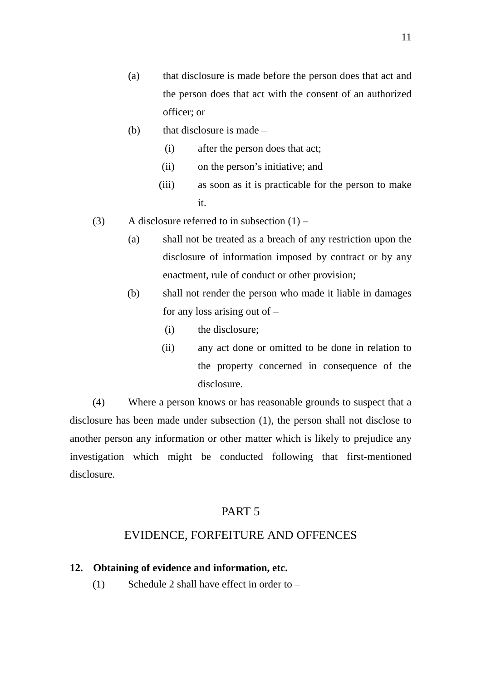- (a) that disclosure is made before the person does that act and the person does that act with the consent of an authorized officer; or
- (b) that disclosure is made
	- (i) after the person does that act;
	- (ii) on the person's initiative; and
	- (iii) as soon as it is practicable for the person to make it.
- (3) A disclosure referred to in subsection  $(1)$ 
	- (a) shall not be treated as a breach of any restriction upon the disclosure of information imposed by contract or by any enactment, rule of conduct or other provision;
	- (b) shall not render the person who made it liable in damages for any loss arising out of –
		- (i) the disclosure;
		- (ii) any act done or omitted to be done in relation to the property concerned in consequence of the disclosure.

(4) Where a person knows or has reasonable grounds to suspect that a disclosure has been made under subsection (1), the person shall not disclose to another person any information or other matter which is likely to prejudice any investigation which might be conducted following that first-mentioned disclosure.

#### PART 5

#### EVIDENCE, FORFEITURE AND OFFENCES

#### **12. Obtaining of evidence and information, etc.**

(1) Schedule 2 shall have effect in order to  $-$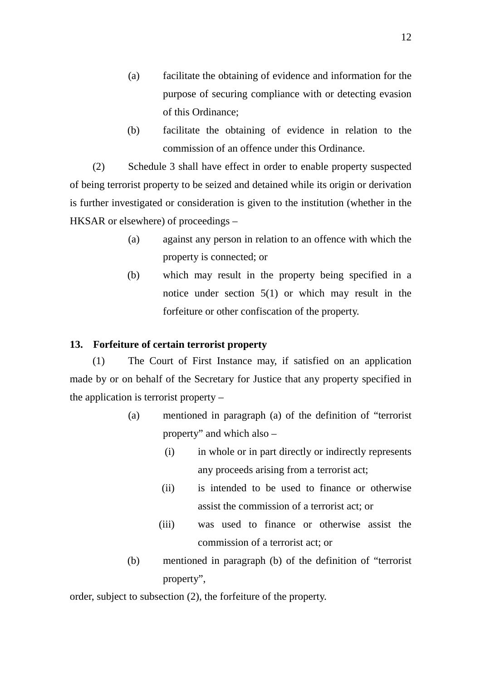- (a) facilitate the obtaining of evidence and information for the purpose of securing compliance with or detecting evasion of this Ordinance;
- (b) facilitate the obtaining of evidence in relation to the commission of an offence under this Ordinance.

(2) Schedule 3 shall have effect in order to enable property suspected of being terrorist property to be seized and detained while its origin or derivation is further investigated or consideration is given to the institution (whether in the HKSAR or elsewhere) of proceedings –

- (a) against any person in relation to an offence with which the property is connected; or
- (b) which may result in the property being specified in a notice under section 5(1) or which may result in the forfeiture or other confiscation of the property.

# **13. Forfeiture of certain terrorist property**

(1) The Court of First Instance may, if satisfied on an application made by or on behalf of the Secretary for Justice that any property specified in the application is terrorist property –

- (a) mentioned in paragraph (a) of the definition of "terrorist property" and which also –
	- (i) in whole or in part directly or indirectly represents any proceeds arising from a terrorist act;
	- (ii) is intended to be used to finance or otherwise assist the commission of a terrorist act; or
	- (iii) was used to finance or otherwise assist the commission of a terrorist act; or
- (b) mentioned in paragraph (b) of the definition of "terrorist property",

order, subject to subsection (2), the forfeiture of the property.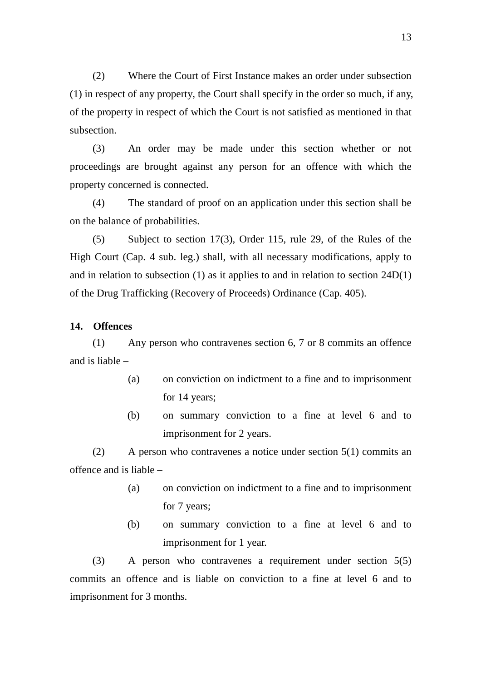(2) Where the Court of First Instance makes an order under subsection (1) in respect of any property, the Court shall specify in the order so much, if any, of the property in respect of which the Court is not satisfied as mentioned in that subsection.

(3) An order may be made under this section whether or not proceedings are brought against any person for an offence with which the property concerned is connected.

(4) The standard of proof on an application under this section shall be on the balance of probabilities.

(5) Subject to section 17(3), Order 115, rule 29, of the Rules of the High Court (Cap. 4 sub. leg.) shall, with all necessary modifications, apply to and in relation to subsection (1) as it applies to and in relation to section 24D(1) of the Drug Trafficking (Recovery of Proceeds) Ordinance (Cap. 405).

## **14. Offences**

(1) Any person who contravenes section 6, 7 or 8 commits an offence and is liable –

- (a) on conviction on indictment to a fine and to imprisonment for 14 years;
- (b) on summary conviction to a fine at level 6 and to imprisonment for 2 years.

(2) A person who contravenes a notice under section 5(1) commits an offence and is liable –

- (a) on conviction on indictment to a fine and to imprisonment for 7 years;
- (b) on summary conviction to a fine at level 6 and to imprisonment for 1 year.

(3) A person who contravenes a requirement under section 5(5) commits an offence and is liable on conviction to a fine at level 6 and to imprisonment for 3 months.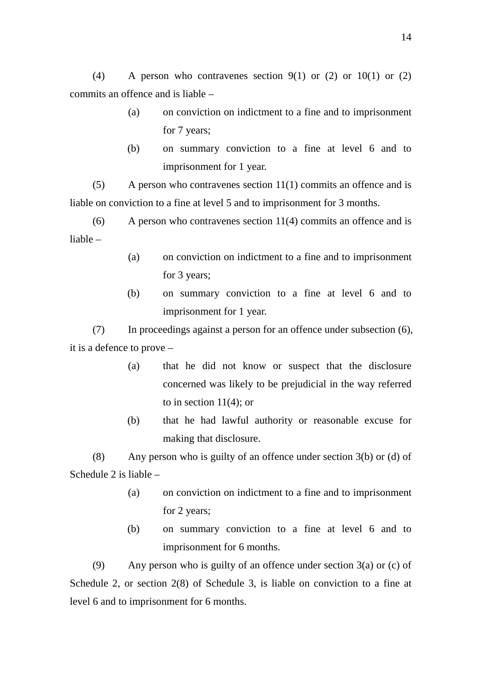(4) A person who contravenes section  $9(1)$  or  $(2)$  or  $10(1)$  or  $(2)$ commits an offence and is liable –

- (a) on conviction on indictment to a fine and to imprisonment for 7 years;
- (b) on summary conviction to a fine at level 6 and to imprisonment for 1 year.

(5) A person who contravenes section 11(1) commits an offence and is liable on conviction to a fine at level 5 and to imprisonment for 3 months.

(6) A person who contravenes section 11(4) commits an offence and is liable –

- (a) on conviction on indictment to a fine and to imprisonment for 3 years;
- (b) on summary conviction to a fine at level 6 and to imprisonment for 1 year.

(7) In proceedings against a person for an offence under subsection (6), it is a defence to prove –

- (a) that he did not know or suspect that the disclosure concerned was likely to be prejudicial in the way referred to in section 11(4); or
- (b) that he had lawful authority or reasonable excuse for making that disclosure.

(8) Any person who is guilty of an offence under section  $3(b)$  or (d) of Schedule 2 is liable –

- (a) on conviction on indictment to a fine and to imprisonment for 2 years;
- (b) on summary conviction to a fine at level 6 and to imprisonment for 6 months.

(9) Any person who is guilty of an offence under section  $3(a)$  or (c) of Schedule 2, or section 2(8) of Schedule 3, is liable on conviction to a fine at level 6 and to imprisonment for 6 months.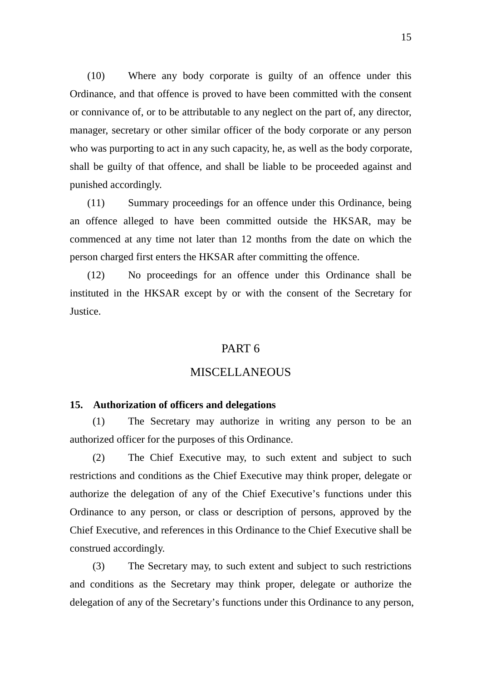(10) Where any body corporate is guilty of an offence under this Ordinance, and that offence is proved to have been committed with the consent or connivance of, or to be attributable to any neglect on the part of, any director, manager, secretary or other similar officer of the body corporate or any person who was purporting to act in any such capacity, he, as well as the body corporate, shall be guilty of that offence, and shall be liable to be proceeded against and punished accordingly.

(11) Summary proceedings for an offence under this Ordinance, being an offence alleged to have been committed outside the HKSAR, may be commenced at any time not later than 12 months from the date on which the person charged first enters the HKSAR after committing the offence.

(12) No proceedings for an offence under this Ordinance shall be instituted in the HKSAR except by or with the consent of the Secretary for Justice.

#### PART 6

#### **MISCELLANEOUS**

#### **15. Authorization of officers and delegations**

(1) The Secretary may authorize in writing any person to be an authorized officer for the purposes of this Ordinance.

(2) The Chief Executive may, to such extent and subject to such restrictions and conditions as the Chief Executive may think proper, delegate or authorize the delegation of any of the Chief Executive's functions under this Ordinance to any person, or class or description of persons, approved by the Chief Executive, and references in this Ordinance to the Chief Executive shall be construed accordingly.

(3) The Secretary may, to such extent and subject to such restrictions and conditions as the Secretary may think proper, delegate or authorize the delegation of any of the Secretary's functions under this Ordinance to any person,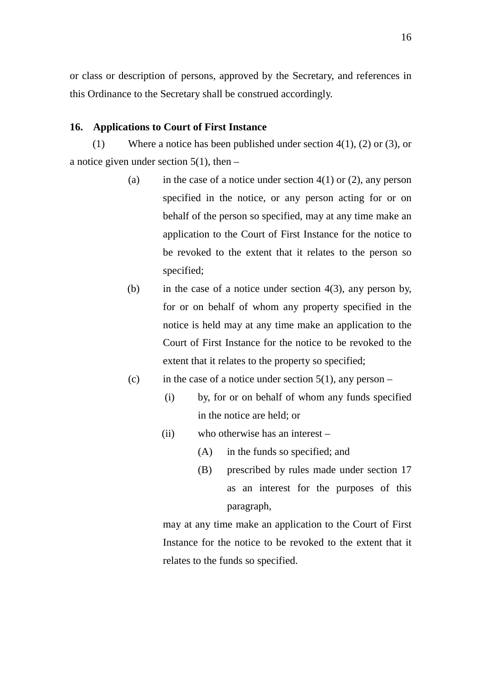or class or description of persons, approved by the Secretary, and references in this Ordinance to the Secretary shall be construed accordingly.

#### **16. Applications to Court of First Instance**

(1) Where a notice has been published under section 4(1), (2) or (3), or a notice given under section  $5(1)$ , then –

- (a) in the case of a notice under section  $4(1)$  or  $(2)$ , any person specified in the notice, or any person acting for or on behalf of the person so specified, may at any time make an application to the Court of First Instance for the notice to be revoked to the extent that it relates to the person so specified;
- (b) in the case of a notice under section  $4(3)$ , any person by, for or on behalf of whom any property specified in the notice is held may at any time make an application to the Court of First Instance for the notice to be revoked to the extent that it relates to the property so specified;
- (c) in the case of a notice under section  $5(1)$ , any person
	- (i) by, for or on behalf of whom any funds specified in the notice are held; or
	- (ii) who otherwise has an interest
		- (A) in the funds so specified; and
		- (B) prescribed by rules made under section 17 as an interest for the purposes of this paragraph,

may at any time make an application to the Court of First Instance for the notice to be revoked to the extent that it relates to the funds so specified.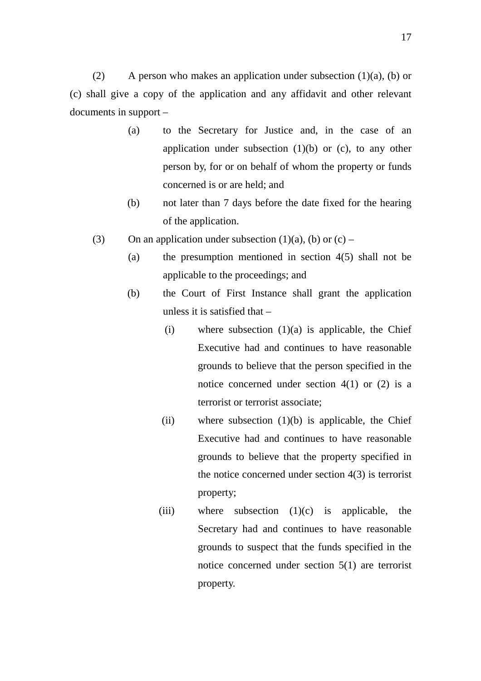(2) A person who makes an application under subsection  $(1)(a)$ ,  $(b)$  or (c) shall give a copy of the application and any affidavit and other relevant documents in support –

- (a) to the Secretary for Justice and, in the case of an application under subsection  $(1)(b)$  or  $(c)$ , to any other person by, for or on behalf of whom the property or funds concerned is or are held; and
- (b) not later than 7 days before the date fixed for the hearing of the application.
- (3) On an application under subsection (1)(a), (b) or  $(c)$ 
	- (a) the presumption mentioned in section 4(5) shall not be applicable to the proceedings; and
	- (b) the Court of First Instance shall grant the application unless it is satisfied that –
		- (i) where subsection  $(1)(a)$  is applicable, the Chief Executive had and continues to have reasonable grounds to believe that the person specified in the notice concerned under section 4(1) or (2) is a terrorist or terrorist associate;
		- (ii) where subsection  $(1)(b)$  is applicable, the Chief Executive had and continues to have reasonable grounds to believe that the property specified in the notice concerned under section 4(3) is terrorist property;
		- (iii) where subsection  $(1)(c)$  is applicable, the Secretary had and continues to have reasonable grounds to suspect that the funds specified in the notice concerned under section 5(1) are terrorist property.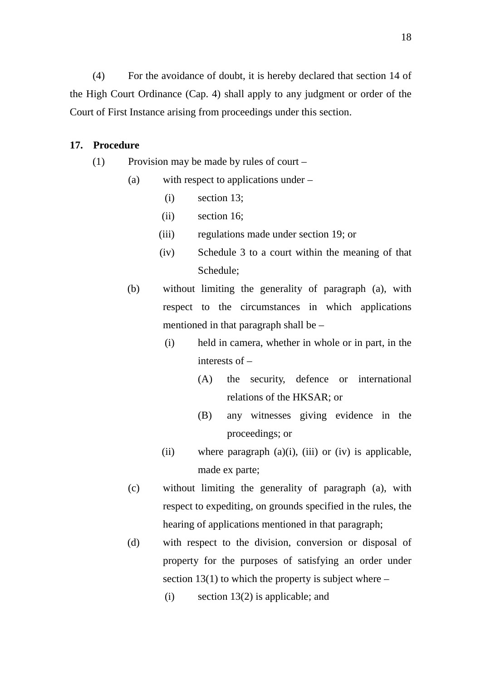(4) For the avoidance of doubt, it is hereby declared that section 14 of the High Court Ordinance (Cap. 4) shall apply to any judgment or order of the Court of First Instance arising from proceedings under this section.

#### **17. Procedure**

- (1) Provision may be made by rules of court
	- (a) with respect to applications under
		- (i) section 13;
		- (ii) section 16;
		- (iii) regulations made under section 19; or
		- (iv) Schedule 3 to a court within the meaning of that Schedule;
	- (b) without limiting the generality of paragraph (a), with respect to the circumstances in which applications mentioned in that paragraph shall be –
		- (i) held in camera, whether in whole or in part, in the interests of –
			- (A) the security, defence or international relations of the HKSAR; or
			- (B) any witnesses giving evidence in the proceedings; or
		- (ii) where paragraph  $(a)(i)$ ,  $(iii)$  or  $(iv)$  is applicable, made ex parte;
	- (c) without limiting the generality of paragraph (a), with respect to expediting, on grounds specified in the rules, the hearing of applications mentioned in that paragraph;
	- (d) with respect to the division, conversion or disposal of property for the purposes of satisfying an order under section  $13(1)$  to which the property is subject where –
		- (i) section  $13(2)$  is applicable; and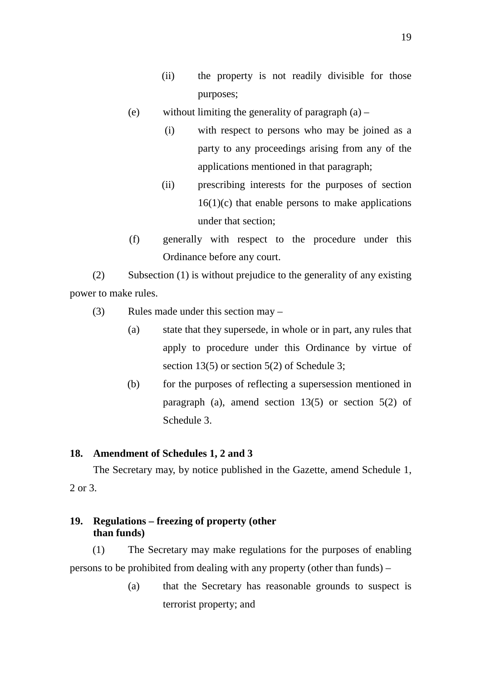- (ii) the property is not readily divisible for those purposes;
- (e) without limiting the generality of paragraph  $(a)$ 
	- (i) with respect to persons who may be joined as a party to any proceedings arising from any of the applications mentioned in that paragraph;
	- (ii) prescribing interests for the purposes of section  $16(1)(c)$  that enable persons to make applications under that section;
- (f) generally with respect to the procedure under this Ordinance before any court.

(2) Subsection (1) is without prejudice to the generality of any existing power to make rules.

- (3) Rules made under this section may
	- (a) state that they supersede, in whole or in part, any rules that apply to procedure under this Ordinance by virtue of section 13(5) or section 5(2) of Schedule 3;
	- (b) for the purposes of reflecting a supersession mentioned in paragraph (a), amend section  $13(5)$  or section  $5(2)$  of Schedule 3.

#### **18. Amendment of Schedules 1, 2 and 3**

The Secretary may, by notice published in the Gazette, amend Schedule 1, 2 or 3.

## **19. Regulations – freezing of property (other than funds)**

(1) The Secretary may make regulations for the purposes of enabling persons to be prohibited from dealing with any property (other than funds) –

> (a) that the Secretary has reasonable grounds to suspect is terrorist property; and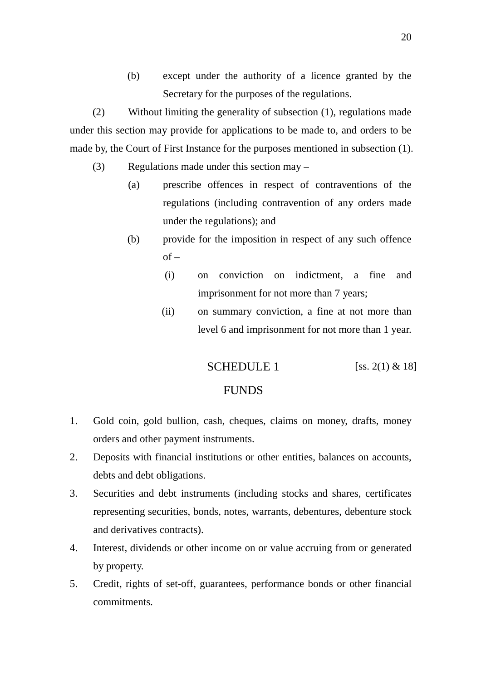(b) except under the authority of a licence granted by the Secretary for the purposes of the regulations.

(2) Without limiting the generality of subsection (1), regulations made under this section may provide for applications to be made to, and orders to be made by, the Court of First Instance for the purposes mentioned in subsection (1).

- (3) Regulations made under this section may
	- (a) prescribe offences in respect of contraventions of the regulations (including contravention of any orders made under the regulations); and
	- (b) provide for the imposition in respect of any such offence  $of –$ 
		- (i) on conviction on indictment, a fine and imprisonment for not more than 7 years;
		- (ii) on summary conviction, a fine at not more than level 6 and imprisonment for not more than 1 year.

# **SCHEDULE 1** [ss. 2(1) & 18]

## FUNDS

- 1. Gold coin, gold bullion, cash, cheques, claims on money, drafts, money orders and other payment instruments.
- 2. Deposits with financial institutions or other entities, balances on accounts, debts and debt obligations.
- 3. Securities and debt instruments (including stocks and shares, certificates representing securities, bonds, notes, warrants, debentures, debenture stock and derivatives contracts).
- 4. Interest, dividends or other income on or value accruing from or generated by property.
- 5. Credit, rights of set-off, guarantees, performance bonds or other financial commitments.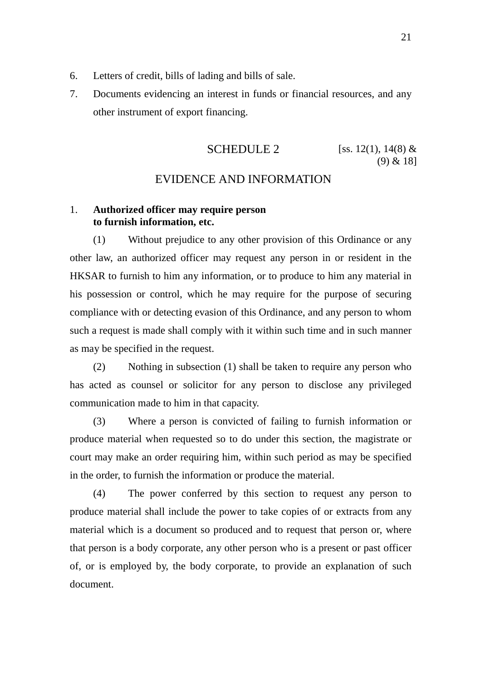- 6. Letters of credit, bills of lading and bills of sale.
- 7. Documents evidencing an interest in funds or financial resources, and any other instrument of export financing.

# **SCHEDULE 2** [ss. 12(1), 14(8) & (9) & 18]

## EVIDENCE AND INFORMATION

## 1. **Authorized officer may require person to furnish information, etc.**

(1) Without prejudice to any other provision of this Ordinance or any other law, an authorized officer may request any person in or resident in the HKSAR to furnish to him any information, or to produce to him any material in his possession or control, which he may require for the purpose of securing compliance with or detecting evasion of this Ordinance, and any person to whom such a request is made shall comply with it within such time and in such manner as may be specified in the request.

(2) Nothing in subsection (1) shall be taken to require any person who has acted as counsel or solicitor for any person to disclose any privileged communication made to him in that capacity.

(3) Where a person is convicted of failing to furnish information or produce material when requested so to do under this section, the magistrate or court may make an order requiring him, within such period as may be specified in the order, to furnish the information or produce the material.

(4) The power conferred by this section to request any person to produce material shall include the power to take copies of or extracts from any material which is a document so produced and to request that person or, where that person is a body corporate, any other person who is a present or past officer of, or is employed by, the body corporate, to provide an explanation of such document.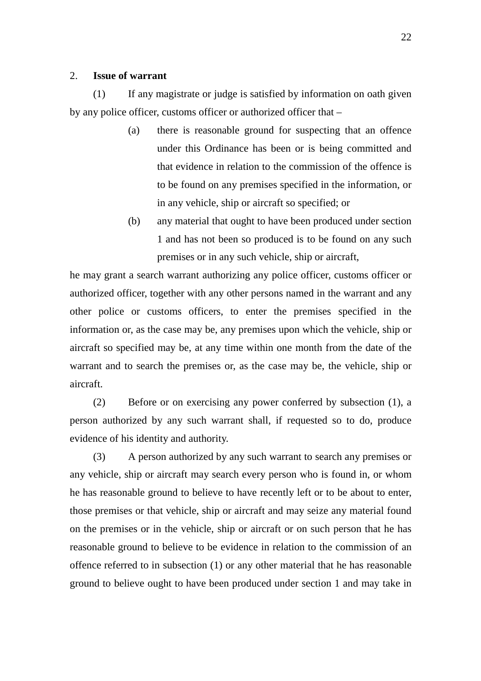#### 2. **Issue of warrant**

(1) If any magistrate or judge is satisfied by information on oath given by any police officer, customs officer or authorized officer that –

- (a) there is reasonable ground for suspecting that an offence under this Ordinance has been or is being committed and that evidence in relation to the commission of the offence is to be found on any premises specified in the information, or in any vehicle, ship or aircraft so specified; or
- (b) any material that ought to have been produced under section 1 and has not been so produced is to be found on any such premises or in any such vehicle, ship or aircraft,

he may grant a search warrant authorizing any police officer, customs officer or authorized officer, together with any other persons named in the warrant and any other police or customs officers, to enter the premises specified in the information or, as the case may be, any premises upon which the vehicle, ship or aircraft so specified may be, at any time within one month from the date of the warrant and to search the premises or, as the case may be, the vehicle, ship or aircraft.

(2) Before or on exercising any power conferred by subsection (1), a person authorized by any such warrant shall, if requested so to do, produce evidence of his identity and authority.

(3) A person authorized by any such warrant to search any premises or any vehicle, ship or aircraft may search every person who is found in, or whom he has reasonable ground to believe to have recently left or to be about to enter, those premises or that vehicle, ship or aircraft and may seize any material found on the premises or in the vehicle, ship or aircraft or on such person that he has reasonable ground to believe to be evidence in relation to the commission of an offence referred to in subsection (1) or any other material that he has reasonable ground to believe ought to have been produced under section 1 and may take in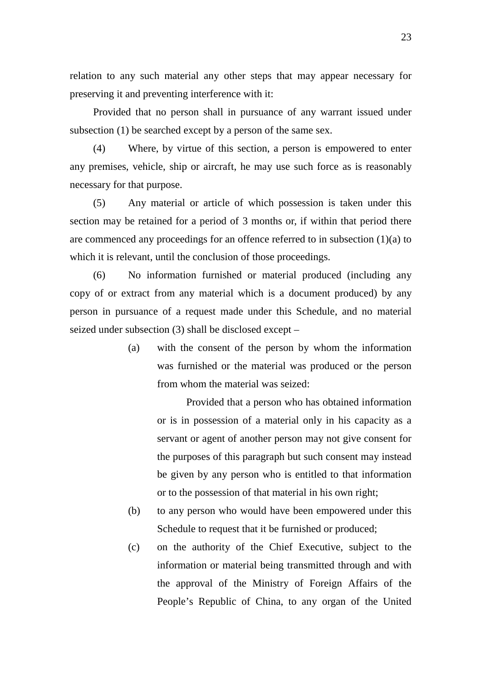relation to any such material any other steps that may appear necessary for preserving it and preventing interference with it:

Provided that no person shall in pursuance of any warrant issued under subsection (1) be searched except by a person of the same sex.

(4) Where, by virtue of this section, a person is empowered to enter any premises, vehicle, ship or aircraft, he may use such force as is reasonably necessary for that purpose.

(5) Any material or article of which possession is taken under this section may be retained for a period of 3 months or, if within that period there are commenced any proceedings for an offence referred to in subsection (1)(a) to which it is relevant, until the conclusion of those proceedings.

(6) No information furnished or material produced (including any copy of or extract from any material which is a document produced) by any person in pursuance of a request made under this Schedule, and no material seized under subsection (3) shall be disclosed except –

> (a) with the consent of the person by whom the information was furnished or the material was produced or the person from whom the material was seized:

Provided that a person who has obtained information or is in possession of a material only in his capacity as a servant or agent of another person may not give consent for the purposes of this paragraph but such consent may instead be given by any person who is entitled to that information or to the possession of that material in his own right;

- (b) to any person who would have been empowered under this Schedule to request that it be furnished or produced;
- (c) on the authority of the Chief Executive, subject to the information or material being transmitted through and with the approval of the Ministry of Foreign Affairs of the People's Republic of China, to any organ of the United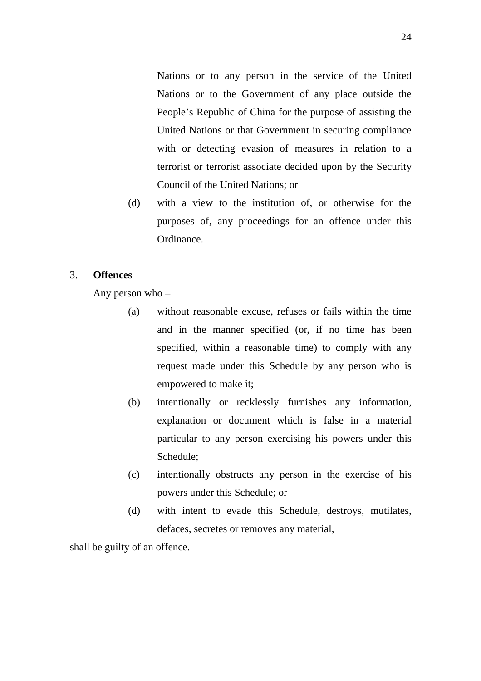Nations or to any person in the service of the United Nations or to the Government of any place outside the People's Republic of China for the purpose of assisting the United Nations or that Government in securing compliance with or detecting evasion of measures in relation to a terrorist or terrorist associate decided upon by the Security Council of the United Nations; or

(d) with a view to the institution of, or otherwise for the purposes of, any proceedings for an offence under this Ordinance.

#### 3. **Offences**

Any person who –

- (a) without reasonable excuse, refuses or fails within the time and in the manner specified (or, if no time has been specified, within a reasonable time) to comply with any request made under this Schedule by any person who is empowered to make it;
- (b) intentionally or recklessly furnishes any information, explanation or document which is false in a material particular to any person exercising his powers under this Schedule;
- (c) intentionally obstructs any person in the exercise of his powers under this Schedule; or
- (d) with intent to evade this Schedule, destroys, mutilates, defaces, secretes or removes any material,

shall be guilty of an offence.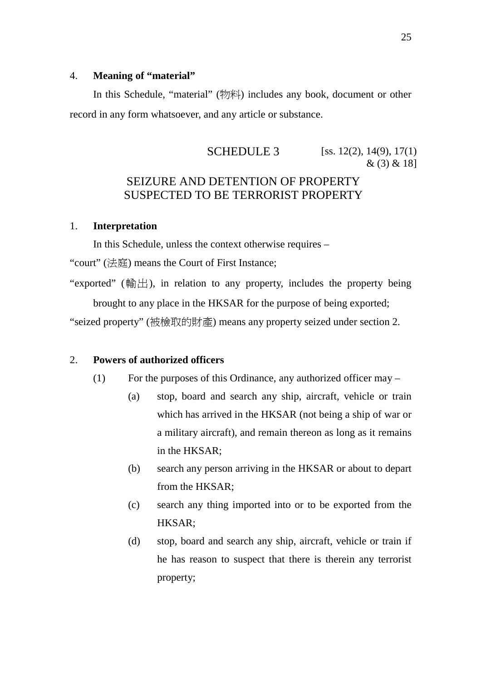#### 4. **Meaning of "material"**

In this Schedule, "material" (物料) includes any book, document or other record in any form whatsoever, and any article or substance.

**SCHEDULE 3** [ss. 12(2), 14(9), 17(1) & (3) & 18] SEIZURE AND DETENTION OF PROPERTY SUSPECTED TO BE TERRORIST PROPERTY

#### 1. **Interpretation**

In this Schedule, unless the context otherwise requires – "court" (法庭) means the Court of First Instance;

"exported" (輸出), in relation to any property, includes the property being brought to any place in the HKSAR for the purpose of being exported;

"seized property" (被檢取的財產) means any property seized under section 2.

#### 2. **Powers of authorized officers**

- (1) For the purposes of this Ordinance, any authorized officer may
	- (a) stop, board and search any ship, aircraft, vehicle or train which has arrived in the HKSAR (not being a ship of war or a military aircraft), and remain thereon as long as it remains in the HKSAR;
	- (b) search any person arriving in the HKSAR or about to depart from the HKSAR;
	- (c) search any thing imported into or to be exported from the HKSAR;
	- (d) stop, board and search any ship, aircraft, vehicle or train if he has reason to suspect that there is therein any terrorist property;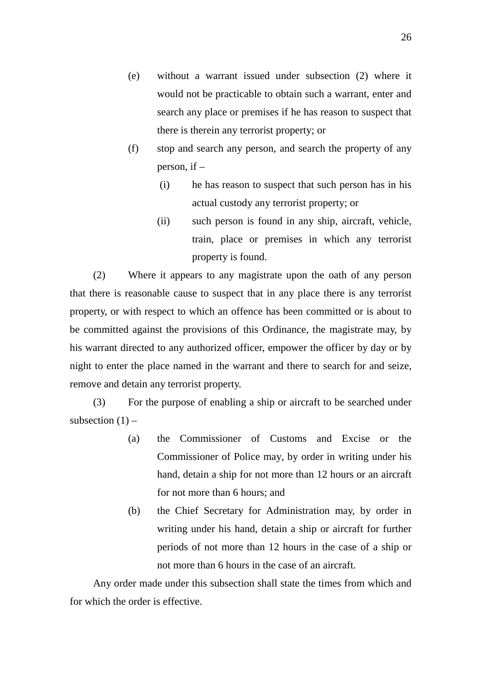- (e) without a warrant issued under subsection (2) where it would not be practicable to obtain such a warrant, enter and search any place or premises if he has reason to suspect that there is therein any terrorist property; or
- (f) stop and search any person, and search the property of any person, if –
	- (i) he has reason to suspect that such person has in his actual custody any terrorist property; or
	- (ii) such person is found in any ship, aircraft, vehicle, train, place or premises in which any terrorist property is found.

(2) Where it appears to any magistrate upon the oath of any person that there is reasonable cause to suspect that in any place there is any terrorist property, or with respect to which an offence has been committed or is about to be committed against the provisions of this Ordinance, the magistrate may, by his warrant directed to any authorized officer, empower the officer by day or by night to enter the place named in the warrant and there to search for and seize, remove and detain any terrorist property.

(3) For the purpose of enabling a ship or aircraft to be searched under subsection  $(1)$  –

- (a) the Commissioner of Customs and Excise or the Commissioner of Police may, by order in writing under his hand, detain a ship for not more than 12 hours or an aircraft for not more than 6 hours; and
- (b) the Chief Secretary for Administration may, by order in writing under his hand, detain a ship or aircraft for further periods of not more than 12 hours in the case of a ship or not more than 6 hours in the case of an aircraft.

Any order made under this subsection shall state the times from which and for which the order is effective.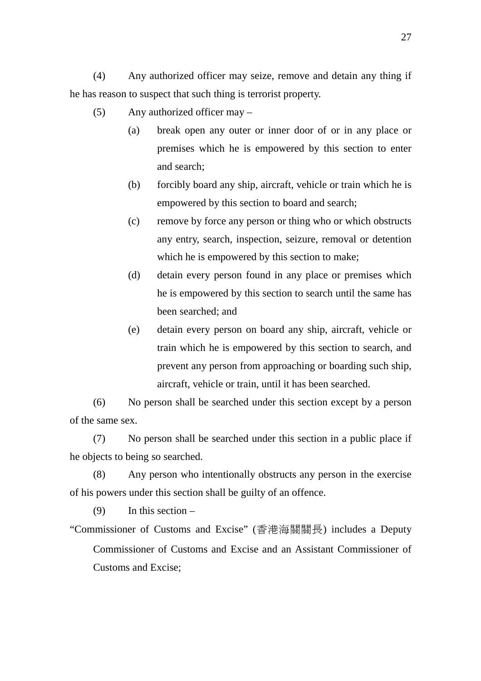(4) Any authorized officer may seize, remove and detain any thing if he has reason to suspect that such thing is terrorist property.

- (5) Any authorized officer may
	- (a) break open any outer or inner door of or in any place or premises which he is empowered by this section to enter and search;
	- (b) forcibly board any ship, aircraft, vehicle or train which he is empowered by this section to board and search;
	- (c) remove by force any person or thing who or which obstructs any entry, search, inspection, seizure, removal or detention which he is empowered by this section to make;
	- (d) detain every person found in any place or premises which he is empowered by this section to search until the same has been searched; and
	- (e) detain every person on board any ship, aircraft, vehicle or train which he is empowered by this section to search, and prevent any person from approaching or boarding such ship, aircraft, vehicle or train, until it has been searched.

(6) No person shall be searched under this section except by a person of the same sex.

(7) No person shall be searched under this section in a public place if he objects to being so searched.

(8) Any person who intentionally obstructs any person in the exercise of his powers under this section shall be guilty of an offence.

 $(9)$  In this section –

"Commissioner of Customs and Excise" (香港海關關長) includes a Deputy Commissioner of Customs and Excise and an Assistant Commissioner of Customs and Excise;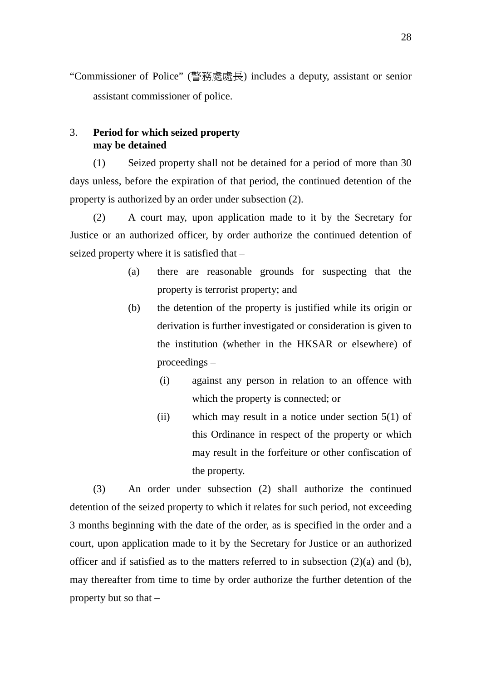"Commissioner of Police" (警務處處長) includes a deputy, assistant or senior assistant commissioner of police.

#### 3. **Period for which seized property may be detained**

(1) Seized property shall not be detained for a period of more than 30 days unless, before the expiration of that period, the continued detention of the property is authorized by an order under subsection (2).

(2) A court may, upon application made to it by the Secretary for Justice or an authorized officer, by order authorize the continued detention of seized property where it is satisfied that –

- (a) there are reasonable grounds for suspecting that the property is terrorist property; and
- (b) the detention of the property is justified while its origin or derivation is further investigated or consideration is given to the institution (whether in the HKSAR or elsewhere) of proceedings –
	- (i) against any person in relation to an offence with which the property is connected; or
	- (ii) which may result in a notice under section 5(1) of this Ordinance in respect of the property or which may result in the forfeiture or other confiscation of the property.

(3) An order under subsection (2) shall authorize the continued detention of the seized property to which it relates for such period, not exceeding 3 months beginning with the date of the order, as is specified in the order and a court, upon application made to it by the Secretary for Justice or an authorized officer and if satisfied as to the matters referred to in subsection (2)(a) and (b), may thereafter from time to time by order authorize the further detention of the property but so that –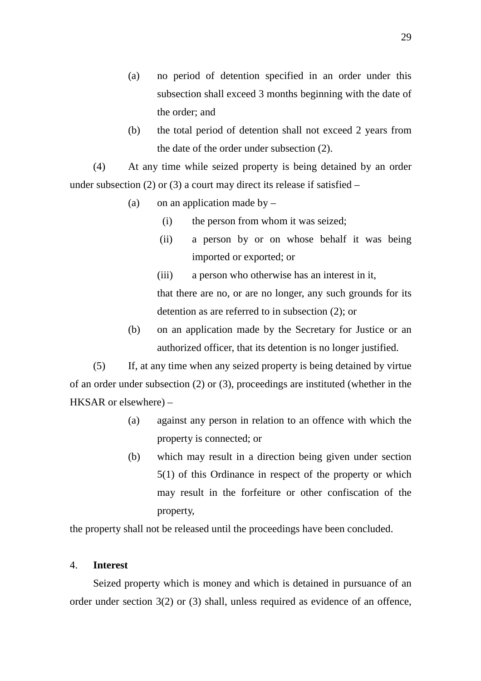- (a) no period of detention specified in an order under this subsection shall exceed 3 months beginning with the date of the order; and
- (b) the total period of detention shall not exceed 2 years from the date of the order under subsection (2).

(4) At any time while seized property is being detained by an order under subsection  $(2)$  or  $(3)$  a court may direct its release if satisfied –

- (a) on an application made by  $-$ 
	- (i) the person from whom it was seized;
	- (ii) a person by or on whose behalf it was being imported or exported; or
	- (iii) a person who otherwise has an interest in it, that there are no, or are no longer, any such grounds for its detention as are referred to in subsection (2); or
- (b) on an application made by the Secretary for Justice or an authorized officer, that its detention is no longer justified.

(5) If, at any time when any seized property is being detained by virtue of an order under subsection (2) or (3), proceedings are instituted (whether in the HKSAR or elsewhere) –

- (a) against any person in relation to an offence with which the property is connected; or
- (b) which may result in a direction being given under section 5(1) of this Ordinance in respect of the property or which may result in the forfeiture or other confiscation of the property,

the property shall not be released until the proceedings have been concluded.

#### 4. **Interest**

Seized property which is money and which is detained in pursuance of an order under section 3(2) or (3) shall, unless required as evidence of an offence,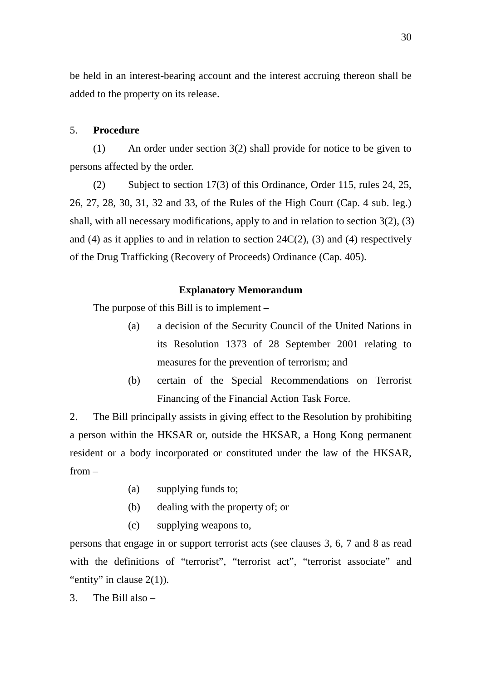be held in an interest-bearing account and the interest accruing thereon shall be added to the property on its release.

#### 5. **Procedure**

(1) An order under section 3(2) shall provide for notice to be given to persons affected by the order.

(2) Subject to section 17(3) of this Ordinance, Order 115, rules 24, 25, 26, 27, 28, 30, 31, 32 and 33, of the Rules of the High Court (Cap. 4 sub. leg.) shall, with all necessary modifications, apply to and in relation to section 3(2), (3) and (4) as it applies to and in relation to section  $24C(2)$ , (3) and (4) respectively of the Drug Trafficking (Recovery of Proceeds) Ordinance (Cap. 405).

#### **Explanatory Memorandum**

The purpose of this Bill is to implement –

- (a) a decision of the Security Council of the United Nations in its Resolution 1373 of 28 September 2001 relating to measures for the prevention of terrorism; and
- (b) certain of the Special Recommendations on Terrorist Financing of the Financial Action Task Force.

2. The Bill principally assists in giving effect to the Resolution by prohibiting a person within the HKSAR or, outside the HKSAR, a Hong Kong permanent resident or a body incorporated or constituted under the law of the HKSAR, from –

- (a) supplying funds to;
- (b) dealing with the property of; or
- (c) supplying weapons to,

persons that engage in or support terrorist acts (see clauses 3, 6, 7 and 8 as read with the definitions of "terrorist", "terrorist act", "terrorist associate" and "entity" in clause  $2(1)$ ).

3. The Bill also –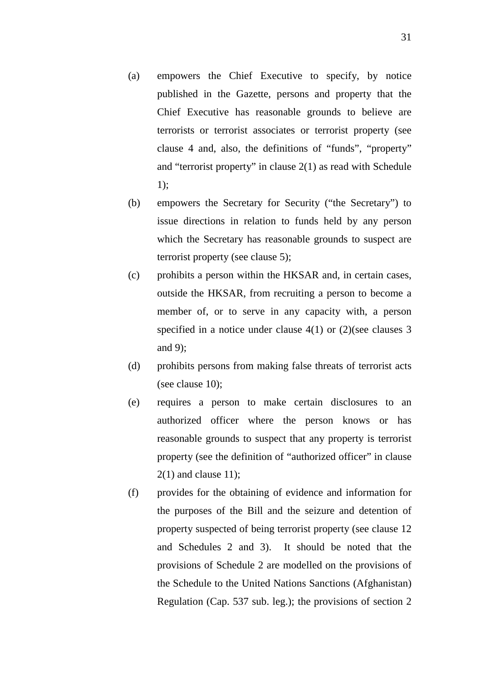- (a) empowers the Chief Executive to specify, by notice published in the Gazette, persons and property that the Chief Executive has reasonable grounds to believe are terrorists or terrorist associates or terrorist property (see clause 4 and, also, the definitions of "funds", "property" and "terrorist property" in clause 2(1) as read with Schedule 1);
- (b) empowers the Secretary for Security ("the Secretary") to issue directions in relation to funds held by any person which the Secretary has reasonable grounds to suspect are terrorist property (see clause 5);
- (c) prohibits a person within the HKSAR and, in certain cases, outside the HKSAR, from recruiting a person to become a member of, or to serve in any capacity with, a person specified in a notice under clause 4(1) or  $(2)$ (see clauses 3) and 9);
- (d) prohibits persons from making false threats of terrorist acts (see clause 10);
- (e) requires a person to make certain disclosures to an authorized officer where the person knows or has reasonable grounds to suspect that any property is terrorist property (see the definition of "authorized officer" in clause  $2(1)$  and clause 11);
- (f) provides for the obtaining of evidence and information for the purposes of the Bill and the seizure and detention of property suspected of being terrorist property (see clause 12 and Schedules 2 and 3). It should be noted that the provisions of Schedule 2 are modelled on the provisions of the Schedule to the United Nations Sanctions (Afghanistan) Regulation (Cap. 537 sub. leg.); the provisions of section 2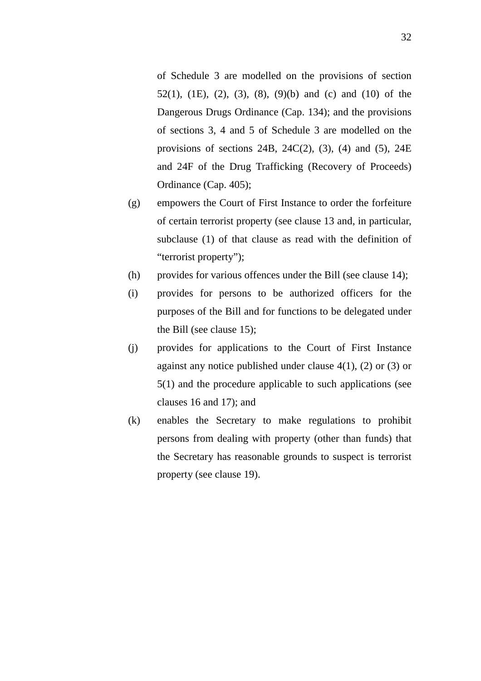of Schedule 3 are modelled on the provisions of section 52(1), (1E), (2), (3), (8), (9)(b) and (c) and (10) of the Dangerous Drugs Ordinance (Cap. 134); and the provisions of sections 3, 4 and 5 of Schedule 3 are modelled on the provisions of sections 24B, 24C(2), (3), (4) and (5),  $24E$ and 24F of the Drug Trafficking (Recovery of Proceeds) Ordinance (Cap. 405);

- (g) empowers the Court of First Instance to order the forfeiture of certain terrorist property (see clause 13 and, in particular, subclause (1) of that clause as read with the definition of "terrorist property");
- (h) provides for various offences under the Bill (see clause 14);
- (i) provides for persons to be authorized officers for the purposes of the Bill and for functions to be delegated under the Bill (see clause 15);
- (j) provides for applications to the Court of First Instance against any notice published under clause  $4(1)$ ,  $(2)$  or  $(3)$  or 5(1) and the procedure applicable to such applications (see clauses 16 and 17); and
- (k) enables the Secretary to make regulations to prohibit persons from dealing with property (other than funds) that the Secretary has reasonable grounds to suspect is terrorist property (see clause 19).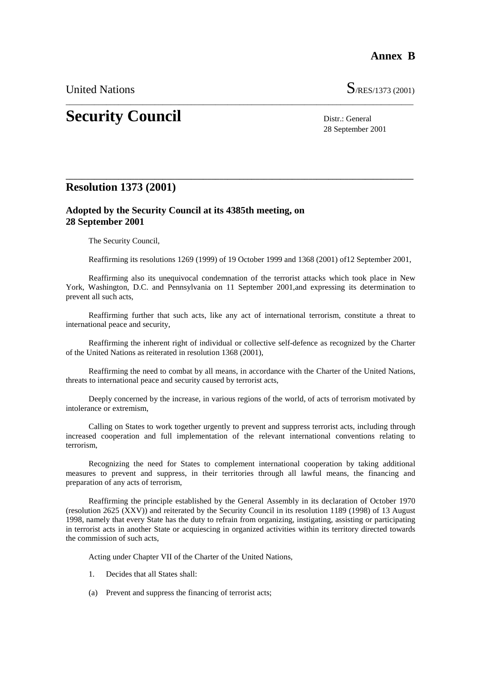**Annex B**

United Nations S/RES/1373 (2001)

# **Security Council** Distr.: General

28 September 2001

#### **Resolution 1373 (2001)**

#### **Adopted by the Security Council at its 4385th meeting, on 28 September 2001**

The Security Council,

Reaffirming its resolutions 1269 (1999) of 19 October 1999 and 1368 (2001) of12 September 2001,

Reaffirming also its unequivocal condemnation of the terrorist attacks which took place in New York, Washington, D.C. and Pennsylvania on 11 September 2001,and expressing its determination to prevent all such acts,

\_\_\_\_\_\_\_\_\_\_\_\_\_\_\_\_\_\_\_\_\_\_\_\_\_\_\_\_\_\_\_\_\_\_\_\_\_\_\_\_\_\_\_\_\_\_\_\_\_\_\_\_\_\_\_\_\_\_\_\_\_\_\_\_\_\_\_\_\_\_\_\_\_\_\_\_\_\_\_\_\_\_\_\_\_\_

**\_\_\_\_\_\_\_\_\_\_\_\_\_\_\_\_\_\_\_\_\_\_\_\_\_\_\_\_\_\_\_\_\_\_\_\_\_\_\_\_\_\_\_\_\_\_\_\_\_\_\_\_\_\_\_\_\_\_\_\_\_\_\_\_\_\_\_\_\_\_\_\_\_\_\_\_\_\_\_\_\_\_\_\_\_\_**

Reaffirming further that such acts, like any act of international terrorism, constitute a threat to international peace and security,

Reaffirming the inherent right of individual or collective self-defence as recognized by the Charter of the United Nations as reiterated in resolution 1368 (2001),

Reaffirming the need to combat by all means, in accordance with the Charter of the United Nations, threats to international peace and security caused by terrorist acts,

Deeply concerned by the increase, in various regions of the world, of acts of terrorism motivated by intolerance or extremism,

Calling on States to work together urgently to prevent and suppress terrorist acts, including through increased cooperation and full implementation of the relevant international conventions relating to terrorism,

Recognizing the need for States to complement international cooperation by taking additional measures to prevent and suppress, in their territories through all lawful means, the financing and preparation of any acts of terrorism,

Reaffirming the principle established by the General Assembly in its declaration of October 1970 (resolution 2625 (XXV)) and reiterated by the Security Council in its resolution 1189 (1998) of 13 August 1998, namely that every State has the duty to refrain from organizing, instigating, assisting or participating in terrorist acts in another State or acquiescing in organized activities within its territory directed towards the commission of such acts,

Acting under Chapter VII of the Charter of the United Nations,

- 1. Decides that all States shall:
- (a) Prevent and suppress the financing of terrorist acts;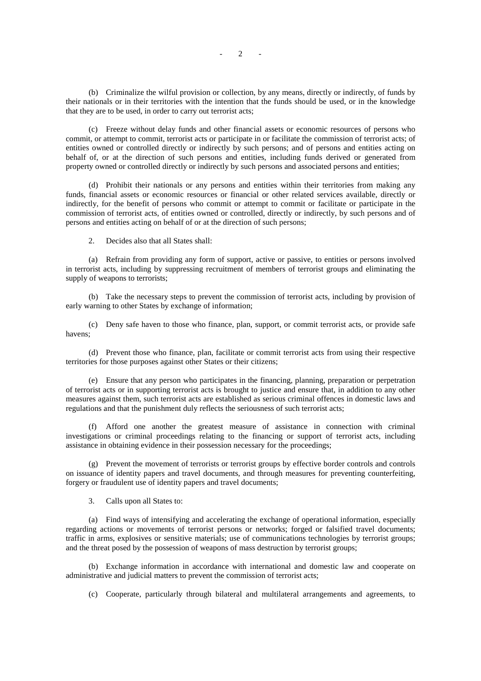$2$ 

(b) Criminalize the wilful provision or collection, by any means, directly or indirectly, of funds by their nationals or in their territories with the intention that the funds should be used, or in the knowledge that they are to be used, in order to carry out terrorist acts;

(c) Freeze without delay funds and other financial assets or economic resources of persons who commit, or attempt to commit, terrorist acts or participate in or facilitate the commission of terrorist acts; of entities owned or controlled directly or indirectly by such persons; and of persons and entities acting on behalf of, or at the direction of such persons and entities, including funds derived or generated from property owned or controlled directly or indirectly by such persons and associated persons and entities;

(d) Prohibit their nationals or any persons and entities within their territories from making any funds, financial assets or economic resources or financial or other related services available, directly or indirectly, for the benefit of persons who commit or attempt to commit or facilitate or participate in the commission of terrorist acts, of entities owned or controlled, directly or indirectly, by such persons and of persons and entities acting on behalf of or at the direction of such persons;

2. Decides also that all States shall:

(a) Refrain from providing any form of support, active or passive, to entities or persons involved in terrorist acts, including by suppressing recruitment of members of terrorist groups and eliminating the supply of weapons to terrorists;

(b) Take the necessary steps to prevent the commission of terrorist acts, including by provision of early warning to other States by exchange of information;

(c) Deny safe haven to those who finance, plan, support, or commit terrorist acts, or provide safe havens;

(d) Prevent those who finance, plan, facilitate or commit terrorist acts from using their respective territories for those purposes against other States or their citizens;

(e) Ensure that any person who participates in the financing, planning, preparation or perpetration of terrorist acts or in supporting terrorist acts is brought to justice and ensure that, in addition to any other measures against them, such terrorist acts are established as serious criminal offences in domestic laws and regulations and that the punishment duly reflects the seriousness of such terrorist acts;

(f) Afford one another the greatest measure of assistance in connection with criminal investigations or criminal proceedings relating to the financing or support of terrorist acts, including assistance in obtaining evidence in their possession necessary for the proceedings;

(g) Prevent the movement of terrorists or terrorist groups by effective border controls and controls on issuance of identity papers and travel documents, and through measures for preventing counterfeiting, forgery or fraudulent use of identity papers and travel documents;

3. Calls upon all States to:

(a) Find ways of intensifying and accelerating the exchange of operational information, especially regarding actions or movements of terrorist persons or networks; forged or falsified travel documents; traffic in arms, explosives or sensitive materials; use of communications technologies by terrorist groups; and the threat posed by the possession of weapons of mass destruction by terrorist groups;

(b) Exchange information in accordance with international and domestic law and cooperate on administrative and judicial matters to prevent the commission of terrorist acts;

(c) Cooperate, particularly through bilateral and multilateral arrangements and agreements, to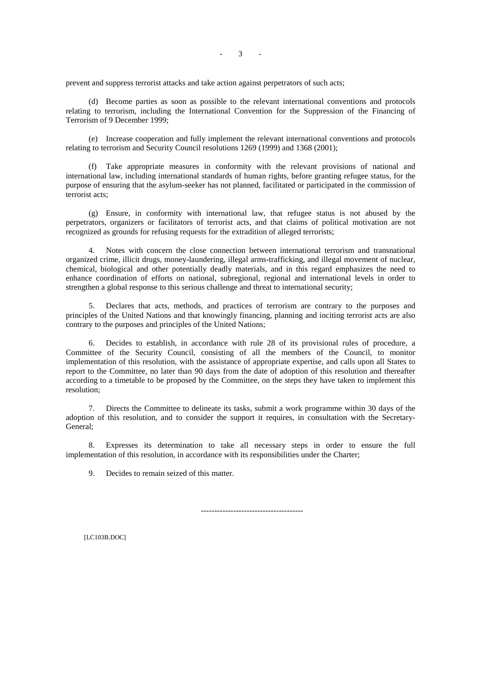prevent and suppress terrorist attacks and take action against perpetrators of such acts;

(d) Become parties as soon as possible to the relevant international conventions and protocols relating to terrorism, including the International Convention for the Suppression of the Financing of Terrorism of 9 December 1999;

(e) Increase cooperation and fully implement the relevant international conventions and protocols relating to terrorism and Security Council resolutions 1269 (1999) and 1368 (2001);

(f) Take appropriate measures in conformity with the relevant provisions of national and international law, including international standards of human rights, before granting refugee status, for the purpose of ensuring that the asylum-seeker has not planned, facilitated or participated in the commission of terrorist acts;

(g) Ensure, in conformity with international law, that refugee status is not abused by the perpetrators, organizers or facilitators of terrorist acts, and that claims of political motivation are not recognized as grounds for refusing requests for the extradition of alleged terrorists;

Notes with concern the close connection between international terrorism and transnational organized crime, illicit drugs, money-laundering, illegal arms-trafficking, and illegal movement of nuclear, chemical, biological and other potentially deadly materials, and in this regard emphasizes the need to enhance coordination of efforts on national, subregional, regional and international levels in order to strengthen a global response to this serious challenge and threat to international security;

5. Declares that acts, methods, and practices of terrorism are contrary to the purposes and principles of the United Nations and that knowingly financing, planning and inciting terrorist acts are also contrary to the purposes and principles of the United Nations;

6. Decides to establish, in accordance with rule 28 of its provisional rules of procedure, a Committee of the Security Council, consisting of all the members of the Council, to monitor implementation of this resolution, with the assistance of appropriate expertise, and calls upon all States to report to the Committee, no later than 90 days from the date of adoption of this resolution and thereafter according to a timetable to be proposed by the Committee, on the steps they have taken to implement this resolution;

7. Directs the Committee to delineate its tasks, submit a work programme within 30 days of the adoption of this resolution, and to consider the support it requires, in consultation with the Secretary-General;

8. Expresses its determination to take all necessary steps in order to ensure the full implementation of this resolution, in accordance with its responsibilities under the Charter;

9. Decides to remain seized of this matter.

--------------------------------------

[LC103B.DOC]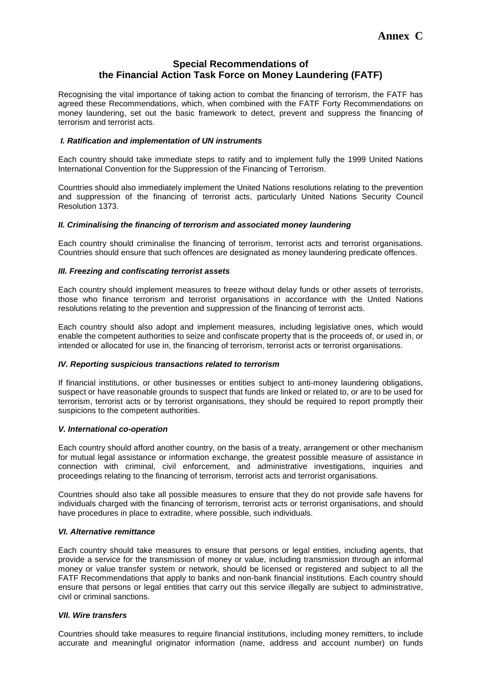#### **Special Recommendations of the Financial Action Task Force on Money Laundering (FATF)**

Recognising the vital importance of taking action to combat the financing of terrorism, the FATF has agreed these Recommendations, which, when combined with the FATF Forty Recommendations on money laundering, set out the basic framework to detect, prevent and suppress the financing of terrorism and terrorist acts.

#### *I. Ratification and implementation of UN instruments*

Each country should take immediate steps to ratify and to implement fully the 1999 United Nations International Convention for the Suppression of the Financing of Terrorism.

Countries should also immediately implement the United Nations resolutions relating to the prevention and suppression of the financing of terrorist acts, particularly United Nations Security Council Resolution 1373.

#### *II. Criminalising the financing of terrorism and associated money laundering*

Each country should criminalise the financing of terrorism, terrorist acts and terrorist organisations. Countries should ensure that such offences are designated as money laundering predicate offences.

#### *III. Freezing and confiscating terrorist assets*

Each country should implement measures to freeze without delay funds or other assets of terrorists, those who finance terrorism and terrorist organisations in accordance with the United Nations resolutions relating to the prevention and suppression of the financing of terrorist acts.

Each country should also adopt and implement measures, including legislative ones, which would enable the competent authorities to seize and confiscate property that is the proceeds of, or used in, or intended or allocated for use in, the financing of terrorism, terrorist acts or terrorist organisations.

#### *IV. Reporting suspicious transactions related to terrorism*

If financial institutions, or other businesses or entities subject to anti-money laundering obligations, suspect or have reasonable grounds to suspect that funds are linked or related to, or are to be used for terrorism, terrorist acts or by terrorist organisations, they should be required to report promptly their suspicions to the competent authorities.

#### *V. International co-operation*

Each country should afford another country, on the basis of a treaty, arrangement or other mechanism for mutual legal assistance or information exchange, the greatest possible measure of assistance in connection with criminal, civil enforcement, and administrative investigations, inquiries and proceedings relating to the financing of terrorism, terrorist acts and terrorist organisations.

Countries should also take all possible measures to ensure that they do not provide safe havens for individuals charged with the financing of terrorism, terrorist acts or terrorist organisations, and should have procedures in place to extradite, where possible, such individuals.

#### *VI. Alternative remittance*

Each country should take measures to ensure that persons or legal entities, including agents, that provide a service for the transmission of money or value, including transmission through an informal money or value transfer system or network, should be licensed or registered and subject to all the FATF Recommendations that apply to banks and non-bank financial institutions. Each country should ensure that persons or legal entities that carry out this service illegally are subject to administrative, civil or criminal sanctions.

#### *VII. Wire transfers*

Countries should take measures to require financial institutions, including money remitters, to include accurate and meaningful originator information (name, address and account number) on funds